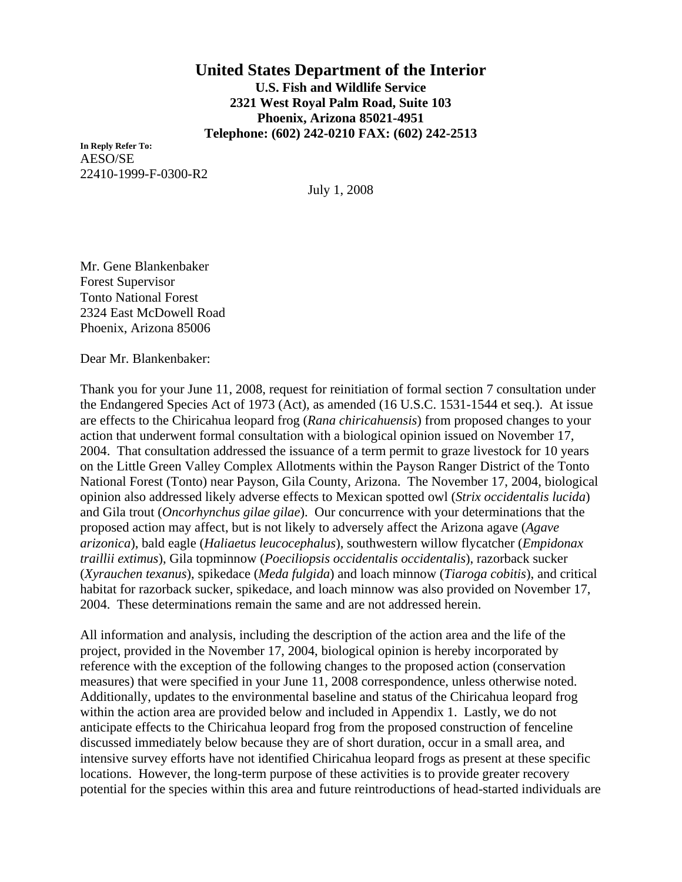## **United States Department of the Interior U.S. Fish and Wildlife Service 2321 West Royal Palm Road, Suite 103 Phoenix, Arizona 85021-4951 Telephone: (602) 242-0210 FAX: (602) 242-2513**

**In Reply Refer To:** AESO/SE 22410-1999-F-0300-R2

July 1, 2008

Mr. Gene Blankenbaker Forest Supervisor Tonto National Forest 2324 East McDowell Road Phoenix, Arizona 85006

Dear Mr. Blankenbaker:

Thank you for your June 11, 2008, request for reinitiation of formal section 7 consultation under the Endangered Species Act of 1973 (Act), as amended (16 U.S.C. 1531-1544 et seq.). At issue are effects to the Chiricahua leopard frog (*Rana chiricahuensis*) from proposed changes to your action that underwent formal consultation with a biological opinion issued on November 17, 2004. That consultation addressed the issuance of a term permit to graze livestock for 10 years on the Little Green Valley Complex Allotments within the Payson Ranger District of the Tonto National Forest (Tonto) near Payson, Gila County, Arizona. The November 17, 2004, biological opinion also addressed likely adverse effects to Mexican spotted owl (*Strix occidentalis lucida*) and Gila trout (*Oncorhynchus gilae gilae*). Our concurrence with your determinations that the proposed action may affect, but is not likely to adversely affect the Arizona agave (*Agave arizonica*), bald eagle (*Haliaetus leucocephalus*), southwestern willow flycatcher (*Empidonax traillii extimus*), Gila topminnow (*Poeciliopsis occidentalis occidentalis*), razorback sucker (*Xyrauchen texanus*), spikedace (*Meda fulgida*) and loach minnow (*Tiaroga cobitis*), and critical habitat for razorback sucker, spikedace, and loach minnow was also provided on November 17, 2004. These determinations remain the same and are not addressed herein.

All information and analysis, including the description of the action area and the life of the project, provided in the November 17, 2004, biological opinion is hereby incorporated by reference with the exception of the following changes to the proposed action (conservation measures) that were specified in your June 11, 2008 correspondence, unless otherwise noted. Additionally, updates to the environmental baseline and status of the Chiricahua leopard frog within the action area are provided below and included in Appendix 1. Lastly, we do not anticipate effects to the Chiricahua leopard frog from the proposed construction of fenceline discussed immediately below because they are of short duration, occur in a small area, and intensive survey efforts have not identified Chiricahua leopard frogs as present at these specific locations. However, the long-term purpose of these activities is to provide greater recovery potential for the species within this area and future reintroductions of head-started individuals are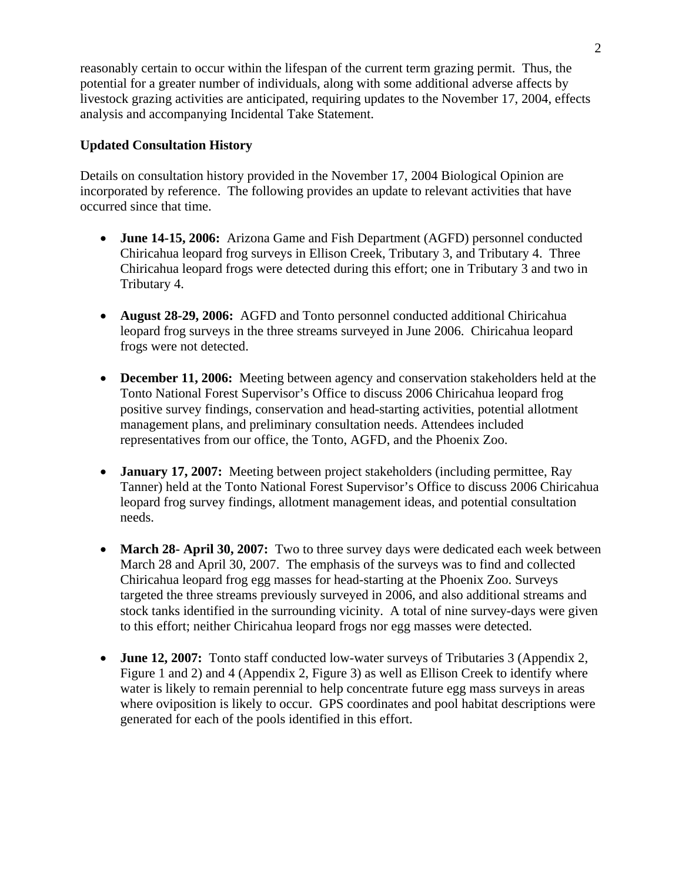reasonably certain to occur within the lifespan of the current term grazing permit. Thus, the potential for a greater number of individuals, along with some additional adverse affects by livestock grazing activities are anticipated, requiring updates to the November 17, 2004, effects analysis and accompanying Incidental Take Statement.

## **Updated Consultation History**

Details on consultation history provided in the November 17, 2004 Biological Opinion are incorporated by reference. The following provides an update to relevant activities that have occurred since that time.

- **June 14-15, 2006:** Arizona Game and Fish Department (AGFD) personnel conducted Chiricahua leopard frog surveys in Ellison Creek, Tributary 3, and Tributary 4. Three Chiricahua leopard frogs were detected during this effort; one in Tributary 3 and two in Tributary 4.
- **August 28-29, 2006:** AGFD and Tonto personnel conducted additional Chiricahua leopard frog surveys in the three streams surveyed in June 2006. Chiricahua leopard frogs were not detected.
- **December 11, 2006:** Meeting between agency and conservation stakeholders held at the Tonto National Forest Supervisor's Office to discuss 2006 Chiricahua leopard frog positive survey findings, conservation and head-starting activities, potential allotment management plans, and preliminary consultation needs. Attendees included representatives from our office, the Tonto, AGFD, and the Phoenix Zoo.
- **January 17, 2007:** Meeting between project stakeholders (including permittee, Ray Tanner) held at the Tonto National Forest Supervisor's Office to discuss 2006 Chiricahua leopard frog survey findings, allotment management ideas, and potential consultation needs.
- **March 28- April 30, 2007:** Two to three survey days were dedicated each week between March 28 and April 30, 2007. The emphasis of the surveys was to find and collected Chiricahua leopard frog egg masses for head-starting at the Phoenix Zoo. Surveys targeted the three streams previously surveyed in 2006, and also additional streams and stock tanks identified in the surrounding vicinity. A total of nine survey-days were given to this effort; neither Chiricahua leopard frogs nor egg masses were detected.
- **June 12, 2007:** Tonto staff conducted low-water surveys of Tributaries 3 (Appendix 2, Figure 1 and 2) and 4 (Appendix 2, Figure 3) as well as Ellison Creek to identify where water is likely to remain perennial to help concentrate future egg mass surveys in areas where oviposition is likely to occur. GPS coordinates and pool habitat descriptions were generated for each of the pools identified in this effort.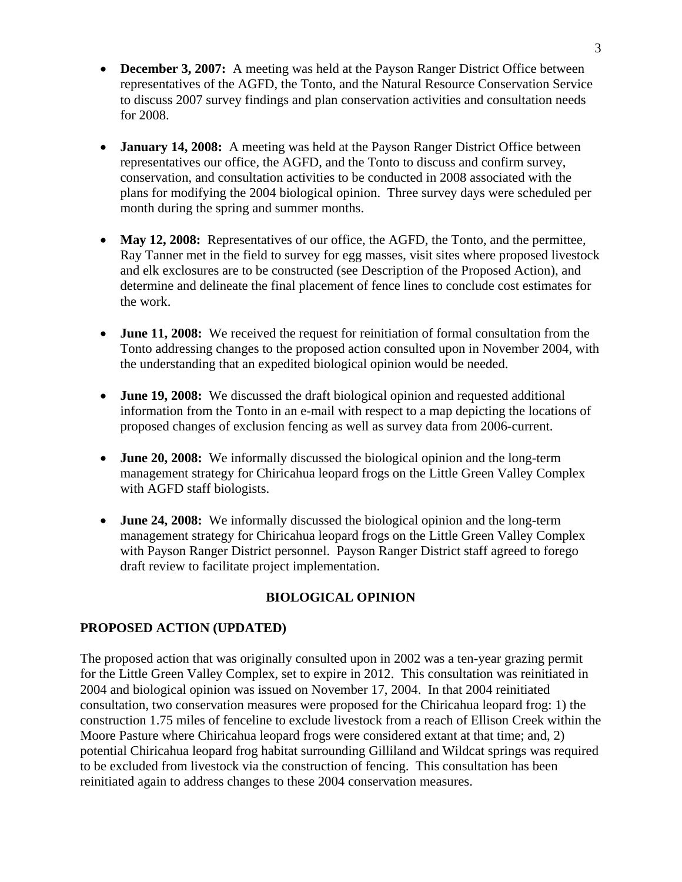- **December 3, 2007:** A meeting was held at the Payson Ranger District Office between representatives of the AGFD, the Tonto, and the Natural Resource Conservation Service to discuss 2007 survey findings and plan conservation activities and consultation needs for 2008.
- **January 14, 2008:** A meeting was held at the Payson Ranger District Office between representatives our office, the AGFD, and the Tonto to discuss and confirm survey, conservation, and consultation activities to be conducted in 2008 associated with the plans for modifying the 2004 biological opinion. Three survey days were scheduled per month during the spring and summer months.
- May 12, 2008: Representatives of our office, the AGFD, the Tonto, and the permittee, Ray Tanner met in the field to survey for egg masses, visit sites where proposed livestock and elk exclosures are to be constructed (see Description of the Proposed Action), and determine and delineate the final placement of fence lines to conclude cost estimates for the work.
- **June 11, 2008:** We received the request for reinitiation of formal consultation from the Tonto addressing changes to the proposed action consulted upon in November 2004, with the understanding that an expedited biological opinion would be needed.
- **June 19, 2008:** We discussed the draft biological opinion and requested additional information from the Tonto in an e-mail with respect to a map depicting the locations of proposed changes of exclusion fencing as well as survey data from 2006-current.
- **June 20, 2008:** We informally discussed the biological opinion and the long-term management strategy for Chiricahua leopard frogs on the Little Green Valley Complex with AGFD staff biologists.
- **June 24, 2008:** We informally discussed the biological opinion and the long-term management strategy for Chiricahua leopard frogs on the Little Green Valley Complex with Payson Ranger District personnel. Payson Ranger District staff agreed to forego draft review to facilitate project implementation.

## **BIOLOGICAL OPINION**

## **PROPOSED ACTION (UPDATED)**

The proposed action that was originally consulted upon in 2002 was a ten-year grazing permit for the Little Green Valley Complex, set to expire in 2012. This consultation was reinitiated in 2004 and biological opinion was issued on November 17, 2004. In that 2004 reinitiated consultation, two conservation measures were proposed for the Chiricahua leopard frog: 1) the construction 1.75 miles of fenceline to exclude livestock from a reach of Ellison Creek within the Moore Pasture where Chiricahua leopard frogs were considered extant at that time; and, 2) potential Chiricahua leopard frog habitat surrounding Gilliland and Wildcat springs was required to be excluded from livestock via the construction of fencing. This consultation has been reinitiated again to address changes to these 2004 conservation measures.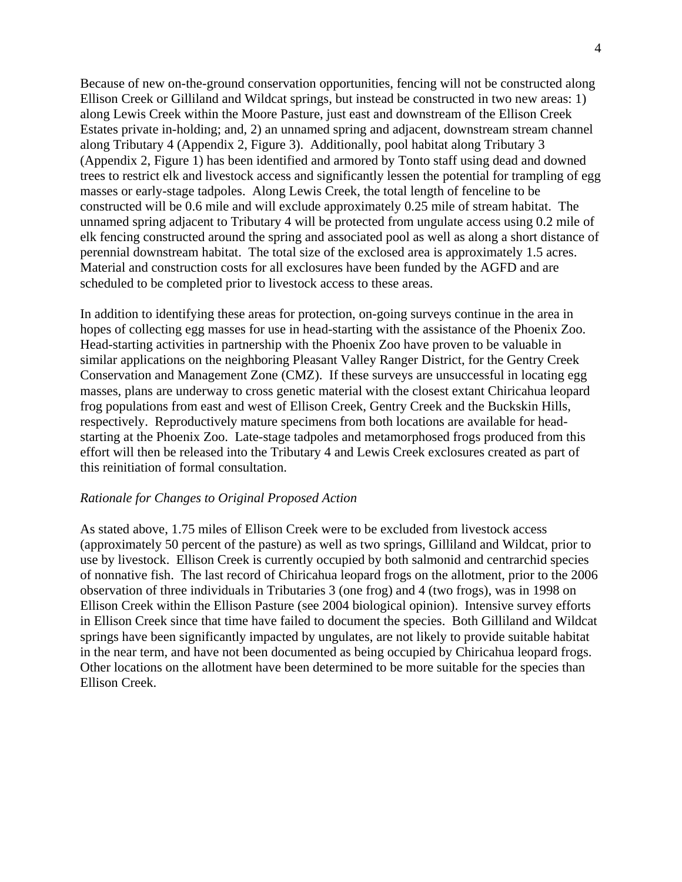Because of new on-the-ground conservation opportunities, fencing will not be constructed along Ellison Creek or Gilliland and Wildcat springs, but instead be constructed in two new areas: 1) along Lewis Creek within the Moore Pasture, just east and downstream of the Ellison Creek Estates private in-holding; and, 2) an unnamed spring and adjacent, downstream stream channel along Tributary 4 (Appendix 2, Figure 3). Additionally, pool habitat along Tributary 3 (Appendix 2, Figure 1) has been identified and armored by Tonto staff using dead and downed trees to restrict elk and livestock access and significantly lessen the potential for trampling of egg masses or early-stage tadpoles. Along Lewis Creek, the total length of fenceline to be constructed will be 0.6 mile and will exclude approximately 0.25 mile of stream habitat. The unnamed spring adjacent to Tributary 4 will be protected from ungulate access using 0.2 mile of elk fencing constructed around the spring and associated pool as well as along a short distance of perennial downstream habitat. The total size of the exclosed area is approximately 1.5 acres. Material and construction costs for all exclosures have been funded by the AGFD and are scheduled to be completed prior to livestock access to these areas.

In addition to identifying these areas for protection, on-going surveys continue in the area in hopes of collecting egg masses for use in head-starting with the assistance of the Phoenix Zoo. Head-starting activities in partnership with the Phoenix Zoo have proven to be valuable in similar applications on the neighboring Pleasant Valley Ranger District, for the Gentry Creek Conservation and Management Zone (CMZ). If these surveys are unsuccessful in locating egg masses, plans are underway to cross genetic material with the closest extant Chiricahua leopard frog populations from east and west of Ellison Creek, Gentry Creek and the Buckskin Hills, respectively. Reproductively mature specimens from both locations are available for headstarting at the Phoenix Zoo. Late-stage tadpoles and metamorphosed frogs produced from this effort will then be released into the Tributary 4 and Lewis Creek exclosures created as part of this reinitiation of formal consultation.

## *Rationale for Changes to Original Proposed Action*

As stated above, 1.75 miles of Ellison Creek were to be excluded from livestock access (approximately 50 percent of the pasture) as well as two springs, Gilliland and Wildcat, prior to use by livestock. Ellison Creek is currently occupied by both salmonid and centrarchid species of nonnative fish. The last record of Chiricahua leopard frogs on the allotment, prior to the 2006 observation of three individuals in Tributaries 3 (one frog) and 4 (two frogs), was in 1998 on Ellison Creek within the Ellison Pasture (see 2004 biological opinion). Intensive survey efforts in Ellison Creek since that time have failed to document the species. Both Gilliland and Wildcat springs have been significantly impacted by ungulates, are not likely to provide suitable habitat in the near term, and have not been documented as being occupied by Chiricahua leopard frogs. Other locations on the allotment have been determined to be more suitable for the species than Ellison Creek.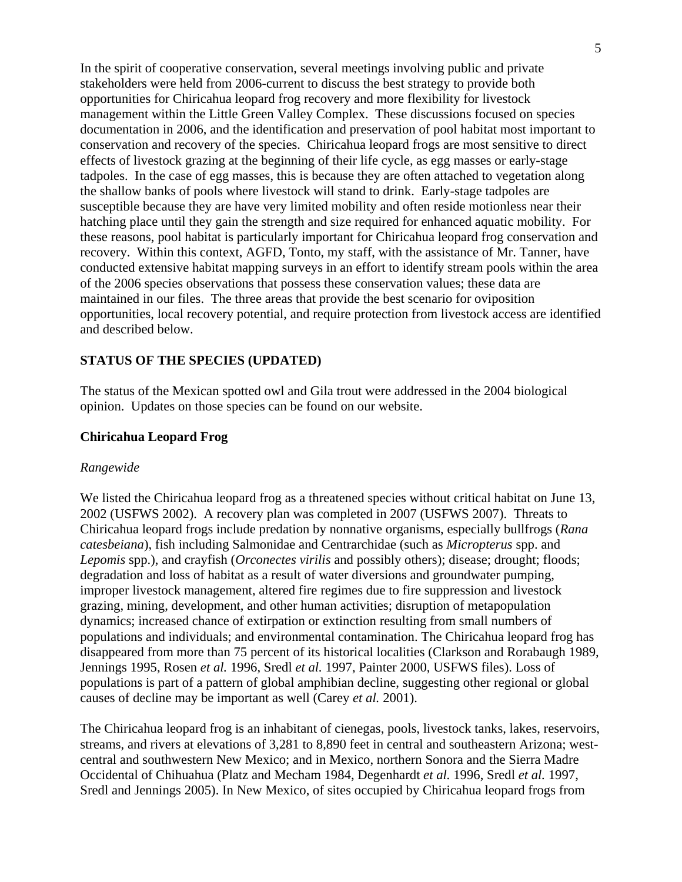In the spirit of cooperative conservation, several meetings involving public and private stakeholders were held from 2006-current to discuss the best strategy to provide both opportunities for Chiricahua leopard frog recovery and more flexibility for livestock management within the Little Green Valley Complex. These discussions focused on species documentation in 2006, and the identification and preservation of pool habitat most important to conservation and recovery of the species. Chiricahua leopard frogs are most sensitive to direct effects of livestock grazing at the beginning of their life cycle, as egg masses or early-stage tadpoles. In the case of egg masses, this is because they are often attached to vegetation along the shallow banks of pools where livestock will stand to drink. Early-stage tadpoles are susceptible because they are have very limited mobility and often reside motionless near their hatching place until they gain the strength and size required for enhanced aquatic mobility. For these reasons, pool habitat is particularly important for Chiricahua leopard frog conservation and recovery. Within this context, AGFD, Tonto, my staff, with the assistance of Mr. Tanner, have conducted extensive habitat mapping surveys in an effort to identify stream pools within the area of the 2006 species observations that possess these conservation values; these data are maintained in our files. The three areas that provide the best scenario for oviposition opportunities, local recovery potential, and require protection from livestock access are identified and described below.

#### **STATUS OF THE SPECIES (UPDATED)**

The status of the Mexican spotted owl and Gila trout were addressed in the 2004 biological opinion. Updates on those species can be found on our website.

#### **Chiricahua Leopard Frog**

#### *Rangewide*

We listed the Chiricahua leopard frog as a threatened species without critical habitat on June 13, 2002 (USFWS 2002). A recovery plan was completed in 2007 (USFWS 2007). Threats to Chiricahua leopard frogs include predation by nonnative organisms, especially bullfrogs (*Rana catesbeiana*), fish including Salmonidae and Centrarchidae (such as *Micropterus* spp. and *Lepomis* spp.), and crayfish (*Orconectes virilis* and possibly others); disease; drought; floods; degradation and loss of habitat as a result of water diversions and groundwater pumping, improper livestock management, altered fire regimes due to fire suppression and livestock grazing, mining, development, and other human activities; disruption of metapopulation dynamics; increased chance of extirpation or extinction resulting from small numbers of populations and individuals; and environmental contamination. The Chiricahua leopard frog has disappeared from more than 75 percent of its historical localities (Clarkson and Rorabaugh 1989, Jennings 1995, Rosen *et al.* 1996, Sredl *et al.* 1997, Painter 2000, USFWS files). Loss of populations is part of a pattern of global amphibian decline, suggesting other regional or global causes of decline may be important as well (Carey *et al.* 2001).

The Chiricahua leopard frog is an inhabitant of cienegas, pools, livestock tanks, lakes, reservoirs, streams, and rivers at elevations of 3,281 to 8,890 feet in central and southeastern Arizona; westcentral and southwestern New Mexico; and in Mexico, northern Sonora and the Sierra Madre Occidental of Chihuahua (Platz and Mecham 1984, Degenhardt *et al.* 1996, Sredl *et al.* 1997, Sredl and Jennings 2005). In New Mexico, of sites occupied by Chiricahua leopard frogs from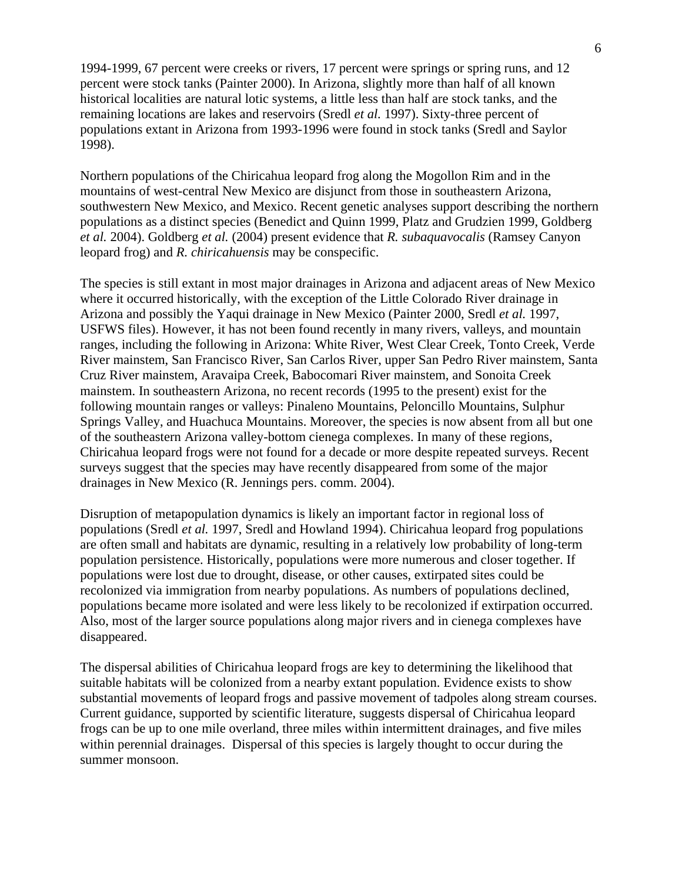1994-1999, 67 percent were creeks or rivers, 17 percent were springs or spring runs, and 12 percent were stock tanks (Painter 2000). In Arizona, slightly more than half of all known historical localities are natural lotic systems, a little less than half are stock tanks, and the remaining locations are lakes and reservoirs (Sredl *et al.* 1997). Sixty-three percent of populations extant in Arizona from 1993-1996 were found in stock tanks (Sredl and Saylor 1998).

Northern populations of the Chiricahua leopard frog along the Mogollon Rim and in the mountains of west-central New Mexico are disjunct from those in southeastern Arizona, southwestern New Mexico, and Mexico. Recent genetic analyses support describing the northern populations as a distinct species (Benedict and Quinn 1999, Platz and Grudzien 1999, Goldberg *et al.* 2004). Goldberg *et al.* (2004) present evidence that *R. subaquavocalis* (Ramsey Canyon leopard frog) and *R. chiricahuensis* may be conspecific.

The species is still extant in most major drainages in Arizona and adjacent areas of New Mexico where it occurred historically, with the exception of the Little Colorado River drainage in Arizona and possibly the Yaqui drainage in New Mexico (Painter 2000, Sredl *et al.* 1997, USFWS files). However, it has not been found recently in many rivers, valleys, and mountain ranges, including the following in Arizona: White River, West Clear Creek, Tonto Creek, Verde River mainstem, San Francisco River, San Carlos River, upper San Pedro River mainstem, Santa Cruz River mainstem, Aravaipa Creek, Babocomari River mainstem, and Sonoita Creek mainstem. In southeastern Arizona, no recent records (1995 to the present) exist for the following mountain ranges or valleys: Pinaleno Mountains, Peloncillo Mountains, Sulphur Springs Valley, and Huachuca Mountains. Moreover, the species is now absent from all but one of the southeastern Arizona valley-bottom cienega complexes. In many of these regions, Chiricahua leopard frogs were not found for a decade or more despite repeated surveys. Recent surveys suggest that the species may have recently disappeared from some of the major drainages in New Mexico (R. Jennings pers. comm. 2004).

Disruption of metapopulation dynamics is likely an important factor in regional loss of populations (Sredl *et al.* 1997, Sredl and Howland 1994). Chiricahua leopard frog populations are often small and habitats are dynamic, resulting in a relatively low probability of long-term population persistence. Historically, populations were more numerous and closer together. If populations were lost due to drought, disease, or other causes, extirpated sites could be recolonized via immigration from nearby populations. As numbers of populations declined, populations became more isolated and were less likely to be recolonized if extirpation occurred. Also, most of the larger source populations along major rivers and in cienega complexes have disappeared.

The dispersal abilities of Chiricahua leopard frogs are key to determining the likelihood that suitable habitats will be colonized from a nearby extant population. Evidence exists to show substantial movements of leopard frogs and passive movement of tadpoles along stream courses. Current guidance, supported by scientific literature, suggests dispersal of Chiricahua leopard frogs can be up to one mile overland, three miles within intermittent drainages, and five miles within perennial drainages. Dispersal of this species is largely thought to occur during the summer monsoon.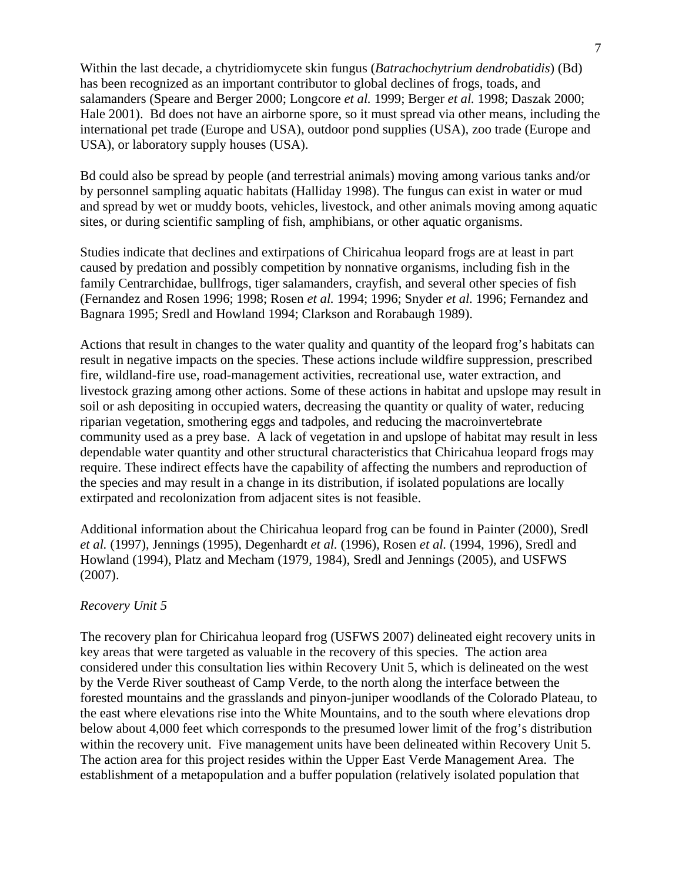Within the last decade, a chytridiomycete skin fungus (*Batrachochytrium dendrobatidis*) (Bd) has been recognized as an important contributor to global declines of frogs, toads, and salamanders (Speare and Berger 2000; Longcore *et al.* 1999; Berger *et al.* 1998; Daszak 2000; Hale 2001). Bd does not have an airborne spore, so it must spread via other means, including the international pet trade (Europe and USA), outdoor pond supplies (USA), zoo trade (Europe and USA), or laboratory supply houses (USA).

Bd could also be spread by people (and terrestrial animals) moving among various tanks and/or by personnel sampling aquatic habitats (Halliday 1998). The fungus can exist in water or mud and spread by wet or muddy boots, vehicles, livestock, and other animals moving among aquatic sites, or during scientific sampling of fish, amphibians, or other aquatic organisms.

Studies indicate that declines and extirpations of Chiricahua leopard frogs are at least in part caused by predation and possibly competition by nonnative organisms, including fish in the family Centrarchidae, bullfrogs, tiger salamanders, crayfish, and several other species of fish (Fernandez and Rosen 1996; 1998; Rosen *et al.* 1994; 1996; Snyder *et al.* 1996; Fernandez and Bagnara 1995; Sredl and Howland 1994; Clarkson and Rorabaugh 1989).

Actions that result in changes to the water quality and quantity of the leopard frog's habitats can result in negative impacts on the species. These actions include wildfire suppression, prescribed fire, wildland-fire use, road-management activities, recreational use, water extraction, and livestock grazing among other actions. Some of these actions in habitat and upslope may result in soil or ash depositing in occupied waters, decreasing the quantity or quality of water, reducing riparian vegetation, smothering eggs and tadpoles, and reducing the macroinvertebrate community used as a prey base. A lack of vegetation in and upslope of habitat may result in less dependable water quantity and other structural characteristics that Chiricahua leopard frogs may require. These indirect effects have the capability of affecting the numbers and reproduction of the species and may result in a change in its distribution, if isolated populations are locally extirpated and recolonization from adjacent sites is not feasible.

Additional information about the Chiricahua leopard frog can be found in Painter (2000), Sredl *et al.* (1997), Jennings (1995), Degenhardt *et al.* (1996), Rosen *et al.* (1994, 1996), Sredl and Howland (1994), Platz and Mecham (1979, 1984), Sredl and Jennings (2005), and USFWS (2007).

#### *Recovery Unit 5*

The recovery plan for Chiricahua leopard frog (USFWS 2007) delineated eight recovery units in key areas that were targeted as valuable in the recovery of this species. The action area considered under this consultation lies within Recovery Unit 5, which is delineated on the west by the Verde River southeast of Camp Verde, to the north along the interface between the forested mountains and the grasslands and pinyon-juniper woodlands of the Colorado Plateau, to the east where elevations rise into the White Mountains, and to the south where elevations drop below about 4,000 feet which corresponds to the presumed lower limit of the frog's distribution within the recovery unit. Five management units have been delineated within Recovery Unit 5. The action area for this project resides within the Upper East Verde Management Area. The establishment of a metapopulation and a buffer population (relatively isolated population that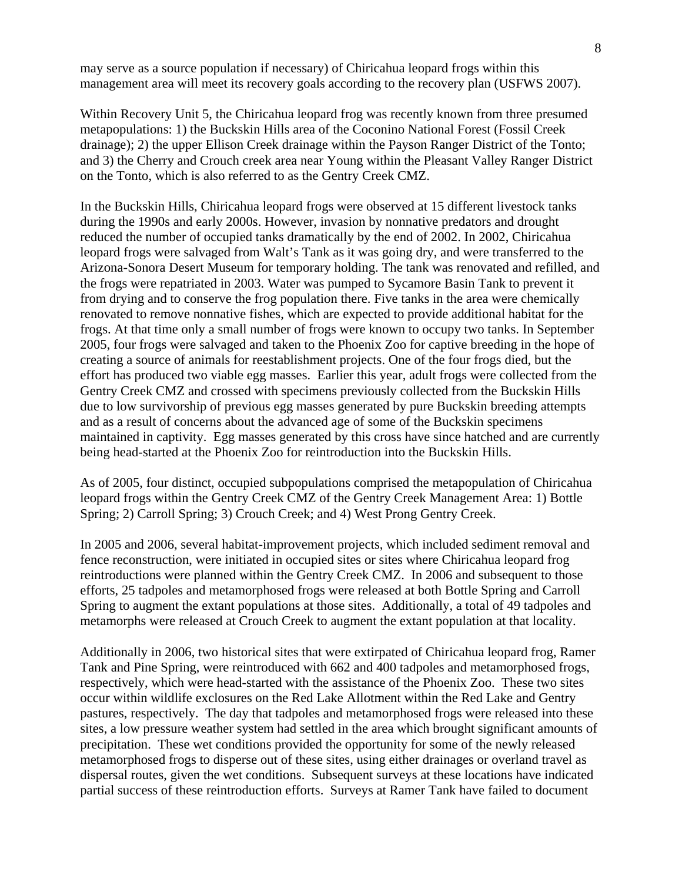may serve as a source population if necessary) of Chiricahua leopard frogs within this management area will meet its recovery goals according to the recovery plan (USFWS 2007).

Within Recovery Unit 5, the Chiricahua leopard frog was recently known from three presumed metapopulations: 1) the Buckskin Hills area of the Coconino National Forest (Fossil Creek drainage); 2) the upper Ellison Creek drainage within the Payson Ranger District of the Tonto; and 3) the Cherry and Crouch creek area near Young within the Pleasant Valley Ranger District on the Tonto, which is also referred to as the Gentry Creek CMZ.

In the Buckskin Hills, Chiricahua leopard frogs were observed at 15 different livestock tanks during the 1990s and early 2000s. However, invasion by nonnative predators and drought reduced the number of occupied tanks dramatically by the end of 2002. In 2002, Chiricahua leopard frogs were salvaged from Walt's Tank as it was going dry, and were transferred to the Arizona-Sonora Desert Museum for temporary holding. The tank was renovated and refilled, and the frogs were repatriated in 2003. Water was pumped to Sycamore Basin Tank to prevent it from drying and to conserve the frog population there. Five tanks in the area were chemically renovated to remove nonnative fishes, which are expected to provide additional habitat for the frogs. At that time only a small number of frogs were known to occupy two tanks. In September 2005, four frogs were salvaged and taken to the Phoenix Zoo for captive breeding in the hope of creating a source of animals for reestablishment projects. One of the four frogs died, but the effort has produced two viable egg masses. Earlier this year, adult frogs were collected from the Gentry Creek CMZ and crossed with specimens previously collected from the Buckskin Hills due to low survivorship of previous egg masses generated by pure Buckskin breeding attempts and as a result of concerns about the advanced age of some of the Buckskin specimens maintained in captivity. Egg masses generated by this cross have since hatched and are currently being head-started at the Phoenix Zoo for reintroduction into the Buckskin Hills.

As of 2005, four distinct, occupied subpopulations comprised the metapopulation of Chiricahua leopard frogs within the Gentry Creek CMZ of the Gentry Creek Management Area: 1) Bottle Spring; 2) Carroll Spring; 3) Crouch Creek; and 4) West Prong Gentry Creek.

In 2005 and 2006, several habitat-improvement projects, which included sediment removal and fence reconstruction, were initiated in occupied sites or sites where Chiricahua leopard frog reintroductions were planned within the Gentry Creek CMZ. In 2006 and subsequent to those efforts, 25 tadpoles and metamorphosed frogs were released at both Bottle Spring and Carroll Spring to augment the extant populations at those sites. Additionally, a total of 49 tadpoles and metamorphs were released at Crouch Creek to augment the extant population at that locality.

Additionally in 2006, two historical sites that were extirpated of Chiricahua leopard frog, Ramer Tank and Pine Spring, were reintroduced with 662 and 400 tadpoles and metamorphosed frogs, respectively, which were head-started with the assistance of the Phoenix Zoo. These two sites occur within wildlife exclosures on the Red Lake Allotment within the Red Lake and Gentry pastures, respectively. The day that tadpoles and metamorphosed frogs were released into these sites, a low pressure weather system had settled in the area which brought significant amounts of precipitation. These wet conditions provided the opportunity for some of the newly released metamorphosed frogs to disperse out of these sites, using either drainages or overland travel as dispersal routes, given the wet conditions. Subsequent surveys at these locations have indicated partial success of these reintroduction efforts. Surveys at Ramer Tank have failed to document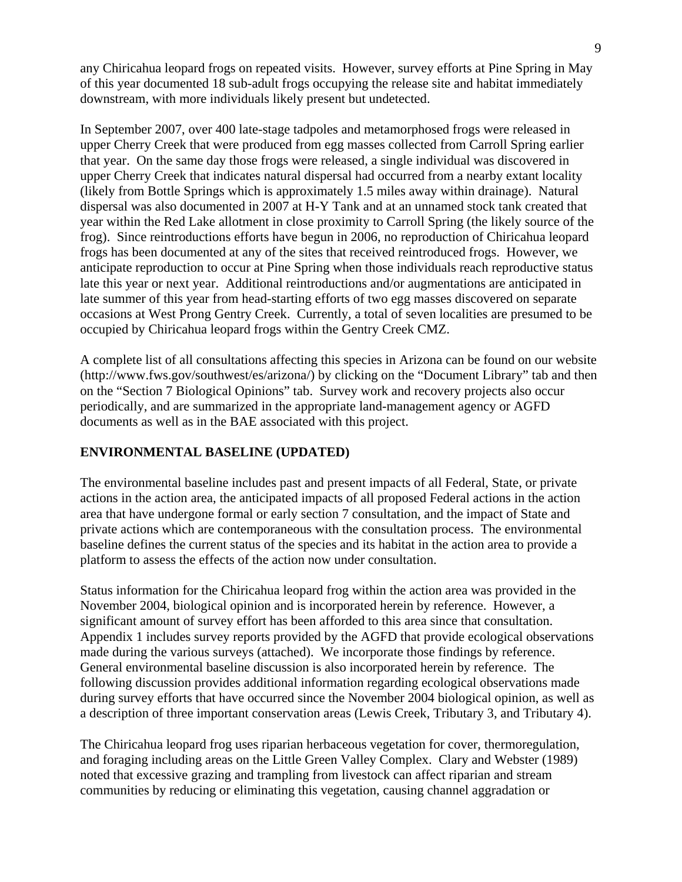any Chiricahua leopard frogs on repeated visits. However, survey efforts at Pine Spring in May of this year documented 18 sub-adult frogs occupying the release site and habitat immediately downstream, with more individuals likely present but undetected.

In September 2007, over 400 late-stage tadpoles and metamorphosed frogs were released in upper Cherry Creek that were produced from egg masses collected from Carroll Spring earlier that year. On the same day those frogs were released, a single individual was discovered in upper Cherry Creek that indicates natural dispersal had occurred from a nearby extant locality (likely from Bottle Springs which is approximately 1.5 miles away within drainage). Natural dispersal was also documented in 2007 at H-Y Tank and at an unnamed stock tank created that year within the Red Lake allotment in close proximity to Carroll Spring (the likely source of the frog). Since reintroductions efforts have begun in 2006, no reproduction of Chiricahua leopard frogs has been documented at any of the sites that received reintroduced frogs. However, we anticipate reproduction to occur at Pine Spring when those individuals reach reproductive status late this year or next year. Additional reintroductions and/or augmentations are anticipated in late summer of this year from head-starting efforts of two egg masses discovered on separate occasions at West Prong Gentry Creek. Currently, a total of seven localities are presumed to be occupied by Chiricahua leopard frogs within the Gentry Creek CMZ.

A complete list of all consultations affecting this species in Arizona can be found on our website (http://www.fws.gov/southwest/es/arizona/) by clicking on the "Document Library" tab and then on the "Section 7 Biological Opinions" tab. Survey work and recovery projects also occur periodically, and are summarized in the appropriate land-management agency or AGFD documents as well as in the BAE associated with this project.

## **ENVIRONMENTAL BASELINE (UPDATED)**

The environmental baseline includes past and present impacts of all Federal, State, or private actions in the action area, the anticipated impacts of all proposed Federal actions in the action area that have undergone formal or early section 7 consultation, and the impact of State and private actions which are contemporaneous with the consultation process. The environmental baseline defines the current status of the species and its habitat in the action area to provide a platform to assess the effects of the action now under consultation.

Status information for the Chiricahua leopard frog within the action area was provided in the November 2004, biological opinion and is incorporated herein by reference. However, a significant amount of survey effort has been afforded to this area since that consultation. Appendix 1 includes survey reports provided by the AGFD that provide ecological observations made during the various surveys (attached). We incorporate those findings by reference. General environmental baseline discussion is also incorporated herein by reference. The following discussion provides additional information regarding ecological observations made during survey efforts that have occurred since the November 2004 biological opinion, as well as a description of three important conservation areas (Lewis Creek, Tributary 3, and Tributary 4).

The Chiricahua leopard frog uses riparian herbaceous vegetation for cover, thermoregulation, and foraging including areas on the Little Green Valley Complex. Clary and Webster (1989) noted that excessive grazing and trampling from livestock can affect riparian and stream communities by reducing or eliminating this vegetation, causing channel aggradation or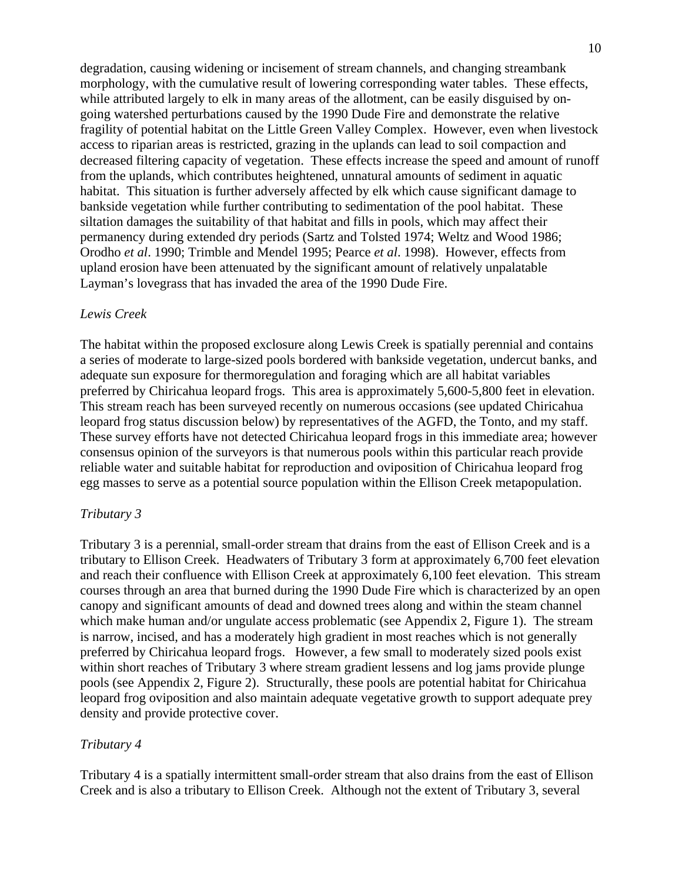degradation, causing widening or incisement of stream channels, and changing streambank morphology, with the cumulative result of lowering corresponding water tables. These effects, while attributed largely to elk in many areas of the allotment, can be easily disguised by ongoing watershed perturbations caused by the 1990 Dude Fire and demonstrate the relative fragility of potential habitat on the Little Green Valley Complex. However, even when livestock access to riparian areas is restricted, grazing in the uplands can lead to soil compaction and decreased filtering capacity of vegetation. These effects increase the speed and amount of runoff from the uplands, which contributes heightened, unnatural amounts of sediment in aquatic habitat. This situation is further adversely affected by elk which cause significant damage to bankside vegetation while further contributing to sedimentation of the pool habitat. These siltation damages the suitability of that habitat and fills in pools, which may affect their permanency during extended dry periods (Sartz and Tolsted 1974; Weltz and Wood 1986; Orodho *et al*. 1990; Trimble and Mendel 1995; Pearce *et al*. 1998). However, effects from upland erosion have been attenuated by the significant amount of relatively unpalatable Layman's lovegrass that has invaded the area of the 1990 Dude Fire.

#### *Lewis Creek*

The habitat within the proposed exclosure along Lewis Creek is spatially perennial and contains a series of moderate to large-sized pools bordered with bankside vegetation, undercut banks, and adequate sun exposure for thermoregulation and foraging which are all habitat variables preferred by Chiricahua leopard frogs. This area is approximately 5,600-5,800 feet in elevation. This stream reach has been surveyed recently on numerous occasions (see updated Chiricahua leopard frog status discussion below) by representatives of the AGFD, the Tonto, and my staff. These survey efforts have not detected Chiricahua leopard frogs in this immediate area; however consensus opinion of the surveyors is that numerous pools within this particular reach provide reliable water and suitable habitat for reproduction and oviposition of Chiricahua leopard frog egg masses to serve as a potential source population within the Ellison Creek metapopulation.

#### *Tributary 3*

Tributary 3 is a perennial, small-order stream that drains from the east of Ellison Creek and is a tributary to Ellison Creek. Headwaters of Tributary 3 form at approximately 6,700 feet elevation and reach their confluence with Ellison Creek at approximately 6,100 feet elevation. This stream courses through an area that burned during the 1990 Dude Fire which is characterized by an open canopy and significant amounts of dead and downed trees along and within the steam channel which make human and/or ungulate access problematic (see Appendix 2, Figure 1). The stream is narrow, incised, and has a moderately high gradient in most reaches which is not generally preferred by Chiricahua leopard frogs. However, a few small to moderately sized pools exist within short reaches of Tributary 3 where stream gradient lessens and log jams provide plunge pools (see Appendix 2, Figure 2). Structurally, these pools are potential habitat for Chiricahua leopard frog oviposition and also maintain adequate vegetative growth to support adequate prey density and provide protective cover.

#### *Tributary 4*

Tributary 4 is a spatially intermittent small-order stream that also drains from the east of Ellison Creek and is also a tributary to Ellison Creek. Although not the extent of Tributary 3, several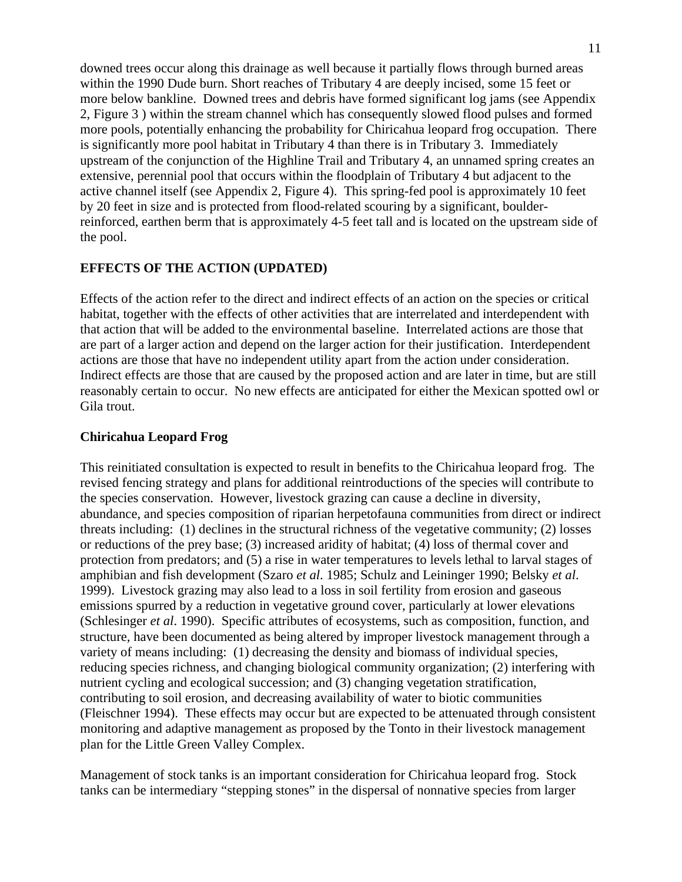downed trees occur along this drainage as well because it partially flows through burned areas within the 1990 Dude burn. Short reaches of Tributary 4 are deeply incised, some 15 feet or more below bankline. Downed trees and debris have formed significant log jams (see Appendix 2, Figure 3 ) within the stream channel which has consequently slowed flood pulses and formed more pools, potentially enhancing the probability for Chiricahua leopard frog occupation. There is significantly more pool habitat in Tributary 4 than there is in Tributary 3. Immediately upstream of the conjunction of the Highline Trail and Tributary 4, an unnamed spring creates an extensive, perennial pool that occurs within the floodplain of Tributary 4 but adjacent to the active channel itself (see Appendix 2, Figure 4). This spring-fed pool is approximately 10 feet by 20 feet in size and is protected from flood-related scouring by a significant, boulderreinforced, earthen berm that is approximately 4-5 feet tall and is located on the upstream side of the pool.

#### **EFFECTS OF THE ACTION (UPDATED)**

Effects of the action refer to the direct and indirect effects of an action on the species or critical habitat, together with the effects of other activities that are interrelated and interdependent with that action that will be added to the environmental baseline. Interrelated actions are those that are part of a larger action and depend on the larger action for their justification. Interdependent actions are those that have no independent utility apart from the action under consideration. Indirect effects are those that are caused by the proposed action and are later in time, but are still reasonably certain to occur. No new effects are anticipated for either the Mexican spotted owl or Gila trout.

#### **Chiricahua Leopard Frog**

This reinitiated consultation is expected to result in benefits to the Chiricahua leopard frog. The revised fencing strategy and plans for additional reintroductions of the species will contribute to the species conservation. However, livestock grazing can cause a decline in diversity, abundance, and species composition of riparian herpetofauna communities from direct or indirect threats including: (1) declines in the structural richness of the vegetative community; (2) losses or reductions of the prey base; (3) increased aridity of habitat; (4) loss of thermal cover and protection from predators; and (5) a rise in water temperatures to levels lethal to larval stages of amphibian and fish development (Szaro *et al*. 1985; Schulz and Leininger 1990; Belsky *et al*. 1999). Livestock grazing may also lead to a loss in soil fertility from erosion and gaseous emissions spurred by a reduction in vegetative ground cover, particularly at lower elevations (Schlesinger *et al*. 1990). Specific attributes of ecosystems, such as composition, function, and structure, have been documented as being altered by improper livestock management through a variety of means including: (1) decreasing the density and biomass of individual species, reducing species richness, and changing biological community organization; (2) interfering with nutrient cycling and ecological succession; and (3) changing vegetation stratification, contributing to soil erosion, and decreasing availability of water to biotic communities (Fleischner 1994). These effects may occur but are expected to be attenuated through consistent monitoring and adaptive management as proposed by the Tonto in their livestock management plan for the Little Green Valley Complex.

Management of stock tanks is an important consideration for Chiricahua leopard frog. Stock tanks can be intermediary "stepping stones" in the dispersal of nonnative species from larger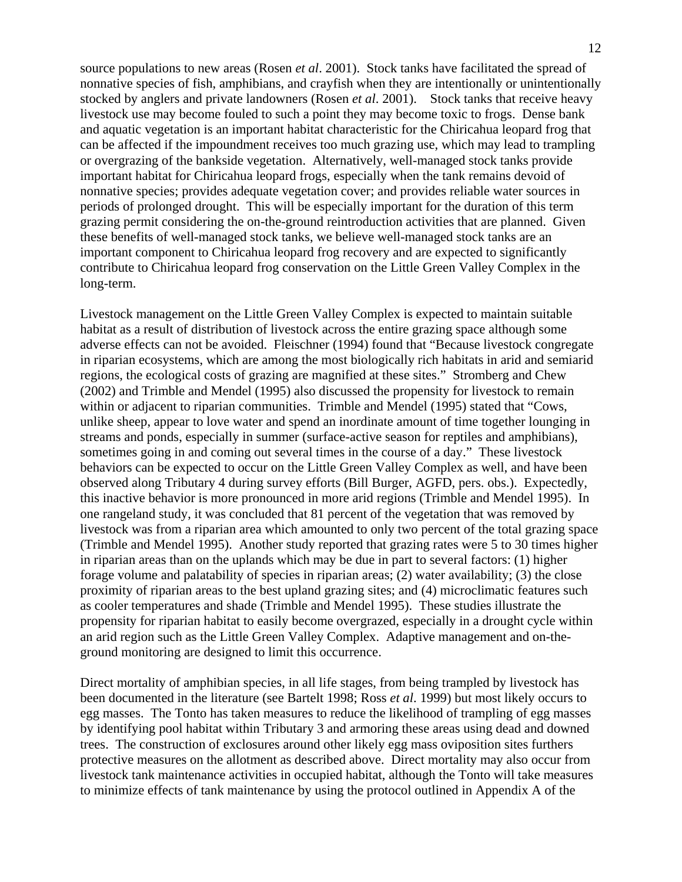source populations to new areas (Rosen *et al*. 2001). Stock tanks have facilitated the spread of nonnative species of fish, amphibians, and crayfish when they are intentionally or unintentionally stocked by anglers and private landowners (Rosen *et al*. 2001). Stock tanks that receive heavy livestock use may become fouled to such a point they may become toxic to frogs. Dense bank and aquatic vegetation is an important habitat characteristic for the Chiricahua leopard frog that can be affected if the impoundment receives too much grazing use, which may lead to trampling or overgrazing of the bankside vegetation. Alternatively, well-managed stock tanks provide important habitat for Chiricahua leopard frogs, especially when the tank remains devoid of nonnative species; provides adequate vegetation cover; and provides reliable water sources in periods of prolonged drought. This will be especially important for the duration of this term grazing permit considering the on-the-ground reintroduction activities that are planned. Given these benefits of well-managed stock tanks, we believe well-managed stock tanks are an important component to Chiricahua leopard frog recovery and are expected to significantly contribute to Chiricahua leopard frog conservation on the Little Green Valley Complex in the long-term.

Livestock management on the Little Green Valley Complex is expected to maintain suitable habitat as a result of distribution of livestock across the entire grazing space although some adverse effects can not be avoided. Fleischner (1994) found that "Because livestock congregate in riparian ecosystems, which are among the most biologically rich habitats in arid and semiarid regions, the ecological costs of grazing are magnified at these sites." Stromberg and Chew (2002) and Trimble and Mendel (1995) also discussed the propensity for livestock to remain within or adjacent to riparian communities. Trimble and Mendel (1995) stated that "Cows, unlike sheep, appear to love water and spend an inordinate amount of time together lounging in streams and ponds, especially in summer (surface-active season for reptiles and amphibians), sometimes going in and coming out several times in the course of a day." These livestock behaviors can be expected to occur on the Little Green Valley Complex as well, and have been observed along Tributary 4 during survey efforts (Bill Burger, AGFD, pers. obs.). Expectedly, this inactive behavior is more pronounced in more arid regions (Trimble and Mendel 1995). In one rangeland study, it was concluded that 81 percent of the vegetation that was removed by livestock was from a riparian area which amounted to only two percent of the total grazing space (Trimble and Mendel 1995). Another study reported that grazing rates were 5 to 30 times higher in riparian areas than on the uplands which may be due in part to several factors: (1) higher forage volume and palatability of species in riparian areas; (2) water availability; (3) the close proximity of riparian areas to the best upland grazing sites; and (4) microclimatic features such as cooler temperatures and shade (Trimble and Mendel 1995). These studies illustrate the propensity for riparian habitat to easily become overgrazed, especially in a drought cycle within an arid region such as the Little Green Valley Complex. Adaptive management and on-theground monitoring are designed to limit this occurrence.

Direct mortality of amphibian species, in all life stages, from being trampled by livestock has been documented in the literature (see Bartelt 1998; Ross *et al*. 1999) but most likely occurs to egg masses. The Tonto has taken measures to reduce the likelihood of trampling of egg masses by identifying pool habitat within Tributary 3 and armoring these areas using dead and downed trees. The construction of exclosures around other likely egg mass oviposition sites furthers protective measures on the allotment as described above. Direct mortality may also occur from livestock tank maintenance activities in occupied habitat, although the Tonto will take measures to minimize effects of tank maintenance by using the protocol outlined in Appendix A of the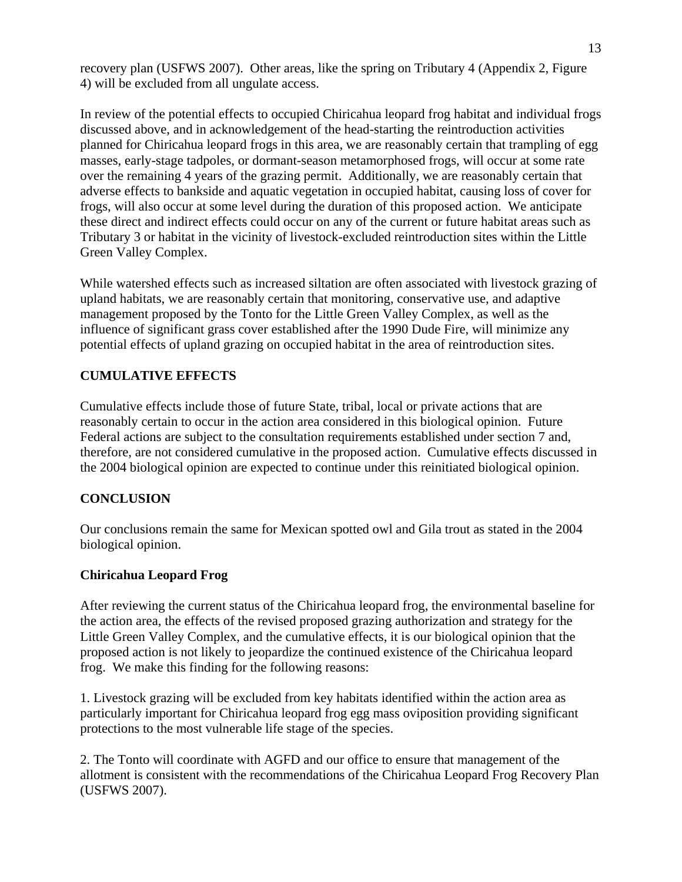recovery plan (USFWS 2007). Other areas, like the spring on Tributary 4 (Appendix 2, Figure 4) will be excluded from all ungulate access.

In review of the potential effects to occupied Chiricahua leopard frog habitat and individual frogs discussed above, and in acknowledgement of the head-starting the reintroduction activities planned for Chiricahua leopard frogs in this area, we are reasonably certain that trampling of egg masses, early-stage tadpoles, or dormant-season metamorphosed frogs, will occur at some rate over the remaining 4 years of the grazing permit. Additionally, we are reasonably certain that adverse effects to bankside and aquatic vegetation in occupied habitat, causing loss of cover for frogs, will also occur at some level during the duration of this proposed action. We anticipate these direct and indirect effects could occur on any of the current or future habitat areas such as Tributary 3 or habitat in the vicinity of livestock-excluded reintroduction sites within the Little Green Valley Complex.

While watershed effects such as increased siltation are often associated with livestock grazing of upland habitats, we are reasonably certain that monitoring, conservative use, and adaptive management proposed by the Tonto for the Little Green Valley Complex, as well as the influence of significant grass cover established after the 1990 Dude Fire, will minimize any potential effects of upland grazing on occupied habitat in the area of reintroduction sites.

## **CUMULATIVE EFFECTS**

Cumulative effects include those of future State, tribal, local or private actions that are reasonably certain to occur in the action area considered in this biological opinion. Future Federal actions are subject to the consultation requirements established under section 7 and, therefore, are not considered cumulative in the proposed action. Cumulative effects discussed in the 2004 biological opinion are expected to continue under this reinitiated biological opinion.

## **CONCLUSION**

Our conclusions remain the same for Mexican spotted owl and Gila trout as stated in the 2004 biological opinion.

## **Chiricahua Leopard Frog**

After reviewing the current status of the Chiricahua leopard frog, the environmental baseline for the action area, the effects of the revised proposed grazing authorization and strategy for the Little Green Valley Complex, and the cumulative effects, it is our biological opinion that the proposed action is not likely to jeopardize the continued existence of the Chiricahua leopard frog. We make this finding for the following reasons:

1. Livestock grazing will be excluded from key habitats identified within the action area as particularly important for Chiricahua leopard frog egg mass oviposition providing significant protections to the most vulnerable life stage of the species.

2. The Tonto will coordinate with AGFD and our office to ensure that management of the allotment is consistent with the recommendations of the Chiricahua Leopard Frog Recovery Plan (USFWS 2007).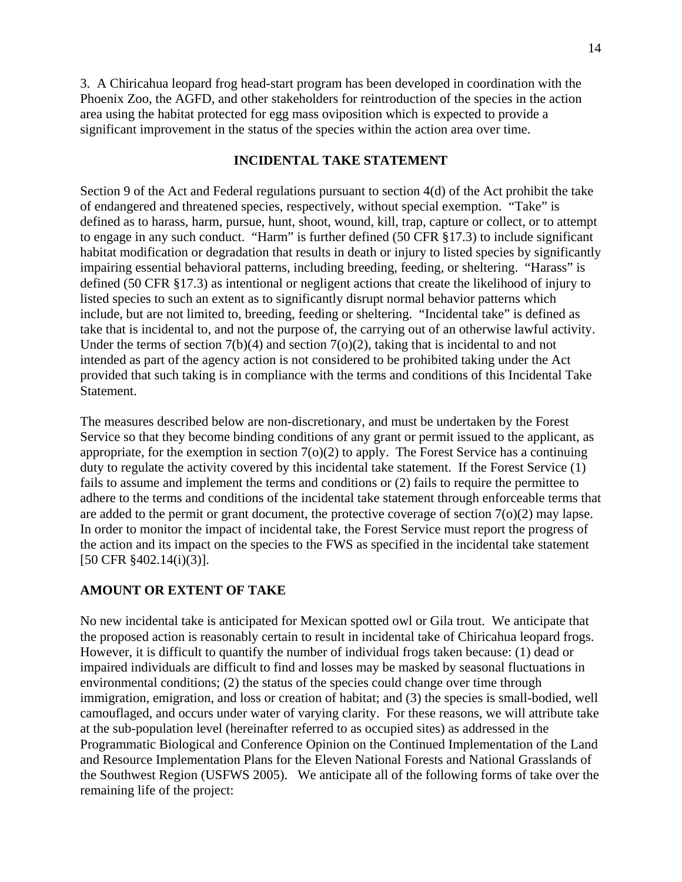3. A Chiricahua leopard frog head-start program has been developed in coordination with the Phoenix Zoo, the AGFD, and other stakeholders for reintroduction of the species in the action area using the habitat protected for egg mass oviposition which is expected to provide a significant improvement in the status of the species within the action area over time.

## **INCIDENTAL TAKE STATEMENT**

Section 9 of the Act and Federal regulations pursuant to section 4(d) of the Act prohibit the take of endangered and threatened species, respectively, without special exemption. "Take" is defined as to harass, harm, pursue, hunt, shoot, wound, kill, trap, capture or collect, or to attempt to engage in any such conduct. "Harm" is further defined (50 CFR §17.3) to include significant habitat modification or degradation that results in death or injury to listed species by significantly impairing essential behavioral patterns, including breeding, feeding, or sheltering. "Harass" is defined (50 CFR §17.3) as intentional or negligent actions that create the likelihood of injury to listed species to such an extent as to significantly disrupt normal behavior patterns which include, but are not limited to, breeding, feeding or sheltering. "Incidental take" is defined as take that is incidental to, and not the purpose of, the carrying out of an otherwise lawful activity. Under the terms of section  $7(b)(4)$  and section  $7(o)(2)$ , taking that is incidental to and not intended as part of the agency action is not considered to be prohibited taking under the Act provided that such taking is in compliance with the terms and conditions of this Incidental Take Statement.

The measures described below are non-discretionary, and must be undertaken by the Forest Service so that they become binding conditions of any grant or permit issued to the applicant, as appropriate, for the exemption in section  $7(0)(2)$  to apply. The Forest Service has a continuing duty to regulate the activity covered by this incidental take statement. If the Forest Service (1) fails to assume and implement the terms and conditions or (2) fails to require the permittee to adhere to the terms and conditions of the incidental take statement through enforceable terms that are added to the permit or grant document, the protective coverage of section 7(o)(2) may lapse. In order to monitor the impact of incidental take, the Forest Service must report the progress of the action and its impact on the species to the FWS as specified in the incidental take statement [50 CFR §402.14(i)(3)].

#### **AMOUNT OR EXTENT OF TAKE**

No new incidental take is anticipated for Mexican spotted owl or Gila trout. We anticipate that the proposed action is reasonably certain to result in incidental take of Chiricahua leopard frogs. However, it is difficult to quantify the number of individual frogs taken because: (1) dead or impaired individuals are difficult to find and losses may be masked by seasonal fluctuations in environmental conditions; (2) the status of the species could change over time through immigration, emigration, and loss or creation of habitat; and (3) the species is small-bodied, well camouflaged, and occurs under water of varying clarity. For these reasons, we will attribute take at the sub-population level (hereinafter referred to as occupied sites) as addressed in the Programmatic Biological and Conference Opinion on the Continued Implementation of the Land and Resource Implementation Plans for the Eleven National Forests and National Grasslands of the Southwest Region (USFWS 2005). We anticipate all of the following forms of take over the remaining life of the project: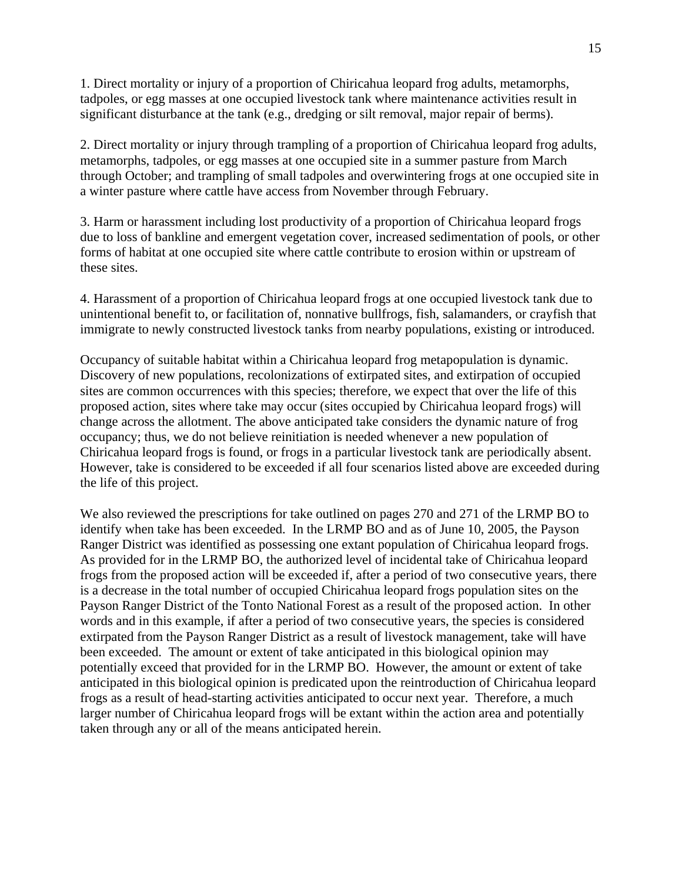1. Direct mortality or injury of a proportion of Chiricahua leopard frog adults, metamorphs, tadpoles, or egg masses at one occupied livestock tank where maintenance activities result in significant disturbance at the tank (e.g., dredging or silt removal, major repair of berms).

2. Direct mortality or injury through trampling of a proportion of Chiricahua leopard frog adults, metamorphs, tadpoles, or egg masses at one occupied site in a summer pasture from March through October; and trampling of small tadpoles and overwintering frogs at one occupied site in a winter pasture where cattle have access from November through February.

3. Harm or harassment including lost productivity of a proportion of Chiricahua leopard frogs due to loss of bankline and emergent vegetation cover, increased sedimentation of pools, or other forms of habitat at one occupied site where cattle contribute to erosion within or upstream of these sites.

4. Harassment of a proportion of Chiricahua leopard frogs at one occupied livestock tank due to unintentional benefit to, or facilitation of, nonnative bullfrogs, fish, salamanders, or crayfish that immigrate to newly constructed livestock tanks from nearby populations, existing or introduced.

Occupancy of suitable habitat within a Chiricahua leopard frog metapopulation is dynamic. Discovery of new populations, recolonizations of extirpated sites, and extirpation of occupied sites are common occurrences with this species; therefore, we expect that over the life of this proposed action, sites where take may occur (sites occupied by Chiricahua leopard frogs) will change across the allotment. The above anticipated take considers the dynamic nature of frog occupancy; thus, we do not believe reinitiation is needed whenever a new population of Chiricahua leopard frogs is found, or frogs in a particular livestock tank are periodically absent. However, take is considered to be exceeded if all four scenarios listed above are exceeded during the life of this project.

We also reviewed the prescriptions for take outlined on pages 270 and 271 of the LRMP BO to identify when take has been exceeded. In the LRMP BO and as of June 10, 2005, the Payson Ranger District was identified as possessing one extant population of Chiricahua leopard frogs. As provided for in the LRMP BO, the authorized level of incidental take of Chiricahua leopard frogs from the proposed action will be exceeded if, after a period of two consecutive years, there is a decrease in the total number of occupied Chiricahua leopard frogs population sites on the Payson Ranger District of the Tonto National Forest as a result of the proposed action. In other words and in this example, if after a period of two consecutive years, the species is considered extirpated from the Payson Ranger District as a result of livestock management, take will have been exceeded. The amount or extent of take anticipated in this biological opinion may potentially exceed that provided for in the LRMP BO. However, the amount or extent of take anticipated in this biological opinion is predicated upon the reintroduction of Chiricahua leopard frogs as a result of head-starting activities anticipated to occur next year. Therefore, a much larger number of Chiricahua leopard frogs will be extant within the action area and potentially taken through any or all of the means anticipated herein.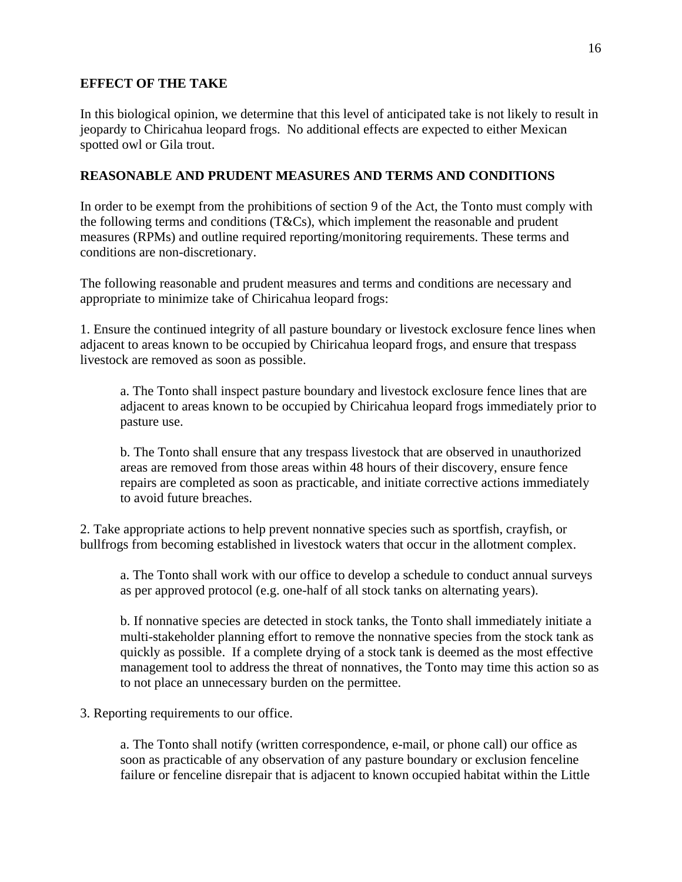## **EFFECT OF THE TAKE**

In this biological opinion, we determine that this level of anticipated take is not likely to result in jeopardy to Chiricahua leopard frogs. No additional effects are expected to either Mexican spotted owl or Gila trout.

## **REASONABLE AND PRUDENT MEASURES AND TERMS AND CONDITIONS**

In order to be exempt from the prohibitions of section 9 of the Act, the Tonto must comply with the following terms and conditions (T&Cs), which implement the reasonable and prudent measures (RPMs) and outline required reporting/monitoring requirements. These terms and conditions are non-discretionary.

The following reasonable and prudent measures and terms and conditions are necessary and appropriate to minimize take of Chiricahua leopard frogs:

1. Ensure the continued integrity of all pasture boundary or livestock exclosure fence lines when adjacent to areas known to be occupied by Chiricahua leopard frogs, and ensure that trespass livestock are removed as soon as possible.

a. The Tonto shall inspect pasture boundary and livestock exclosure fence lines that are adjacent to areas known to be occupied by Chiricahua leopard frogs immediately prior to pasture use.

b. The Tonto shall ensure that any trespass livestock that are observed in unauthorized areas are removed from those areas within 48 hours of their discovery, ensure fence repairs are completed as soon as practicable, and initiate corrective actions immediately to avoid future breaches.

2. Take appropriate actions to help prevent nonnative species such as sportfish, crayfish, or bullfrogs from becoming established in livestock waters that occur in the allotment complex.

a. The Tonto shall work with our office to develop a schedule to conduct annual surveys as per approved protocol (e.g. one-half of all stock tanks on alternating years).

b. If nonnative species are detected in stock tanks, the Tonto shall immediately initiate a multi-stakeholder planning effort to remove the nonnative species from the stock tank as quickly as possible. If a complete drying of a stock tank is deemed as the most effective management tool to address the threat of nonnatives, the Tonto may time this action so as to not place an unnecessary burden on the permittee.

3. Reporting requirements to our office.

a. The Tonto shall notify (written correspondence, e-mail, or phone call) our office as soon as practicable of any observation of any pasture boundary or exclusion fenceline failure or fenceline disrepair that is adjacent to known occupied habitat within the Little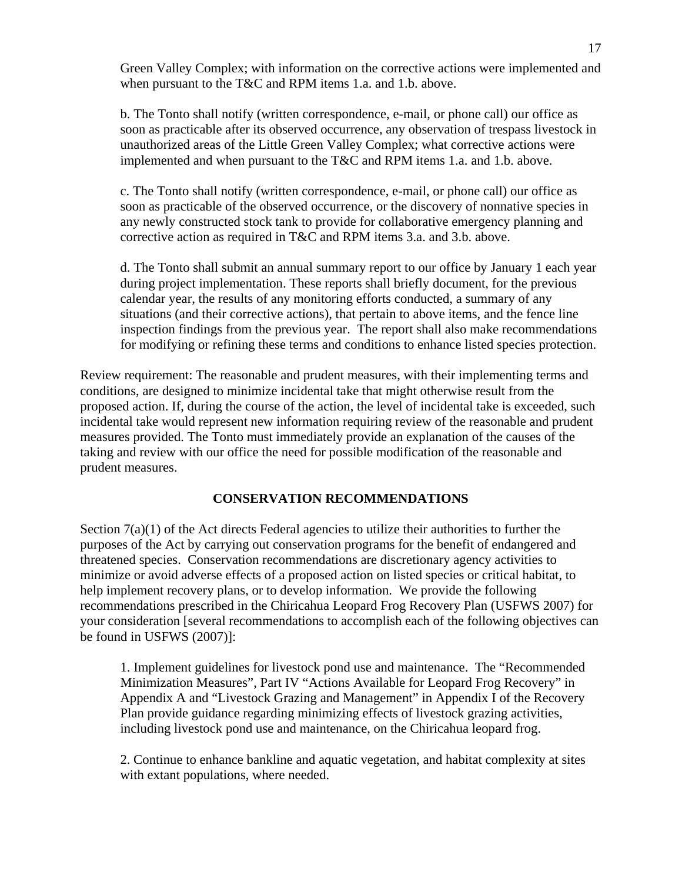Green Valley Complex; with information on the corrective actions were implemented and when pursuant to the T&C and RPM items 1.a. and 1.b. above.

b. The Tonto shall notify (written correspondence, e-mail, or phone call) our office as soon as practicable after its observed occurrence, any observation of trespass livestock in unauthorized areas of the Little Green Valley Complex; what corrective actions were implemented and when pursuant to the T&C and RPM items 1.a. and 1.b. above.

c. The Tonto shall notify (written correspondence, e-mail, or phone call) our office as soon as practicable of the observed occurrence, or the discovery of nonnative species in any newly constructed stock tank to provide for collaborative emergency planning and corrective action as required in T&C and RPM items 3.a. and 3.b. above.

d. The Tonto shall submit an annual summary report to our office by January 1 each year during project implementation. These reports shall briefly document, for the previous calendar year, the results of any monitoring efforts conducted, a summary of any situations (and their corrective actions), that pertain to above items, and the fence line inspection findings from the previous year. The report shall also make recommendations for modifying or refining these terms and conditions to enhance listed species protection.

Review requirement: The reasonable and prudent measures, with their implementing terms and conditions, are designed to minimize incidental take that might otherwise result from the proposed action. If, during the course of the action, the level of incidental take is exceeded, such incidental take would represent new information requiring review of the reasonable and prudent measures provided. The Tonto must immediately provide an explanation of the causes of the taking and review with our office the need for possible modification of the reasonable and prudent measures.

## **CONSERVATION RECOMMENDATIONS**

Section  $7(a)(1)$  of the Act directs Federal agencies to utilize their authorities to further the purposes of the Act by carrying out conservation programs for the benefit of endangered and threatened species. Conservation recommendations are discretionary agency activities to minimize or avoid adverse effects of a proposed action on listed species or critical habitat, to help implement recovery plans, or to develop information. We provide the following recommendations prescribed in the Chiricahua Leopard Frog Recovery Plan (USFWS 2007) for your consideration [several recommendations to accomplish each of the following objectives can be found in USFWS (2007)]:

1. Implement guidelines for livestock pond use and maintenance. The "Recommended Minimization Measures", Part IV "Actions Available for Leopard Frog Recovery" in Appendix A and "Livestock Grazing and Management" in Appendix I of the Recovery Plan provide guidance regarding minimizing effects of livestock grazing activities, including livestock pond use and maintenance, on the Chiricahua leopard frog.

2. Continue to enhance bankline and aquatic vegetation, and habitat complexity at sites with extant populations, where needed.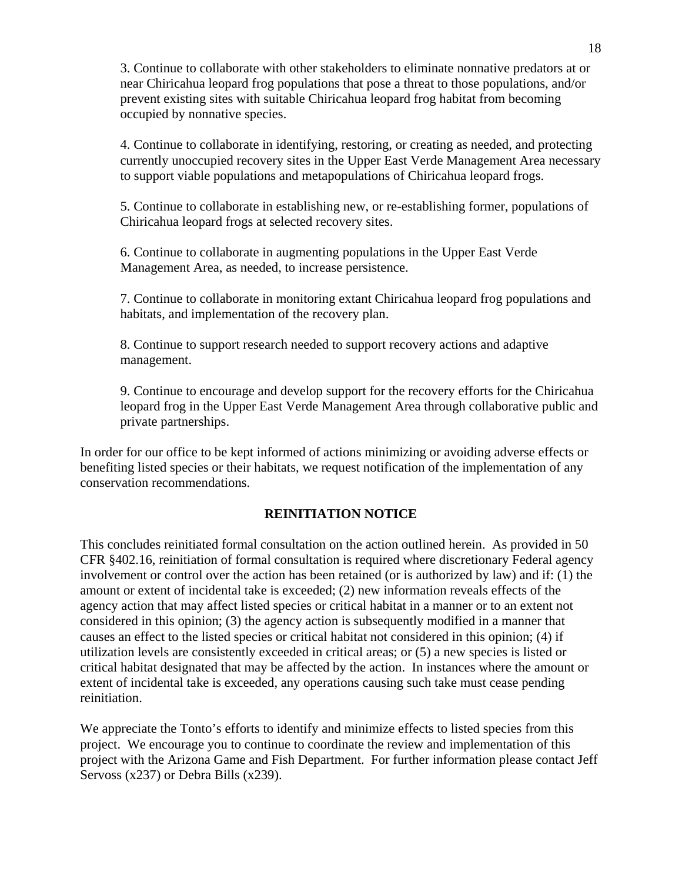3. Continue to collaborate with other stakeholders to eliminate nonnative predators at or near Chiricahua leopard frog populations that pose a threat to those populations, and/or prevent existing sites with suitable Chiricahua leopard frog habitat from becoming occupied by nonnative species.

4. Continue to collaborate in identifying, restoring, or creating as needed, and protecting currently unoccupied recovery sites in the Upper East Verde Management Area necessary to support viable populations and metapopulations of Chiricahua leopard frogs.

5. Continue to collaborate in establishing new, or re-establishing former, populations of Chiricahua leopard frogs at selected recovery sites.

6. Continue to collaborate in augmenting populations in the Upper East Verde Management Area, as needed, to increase persistence.

7. Continue to collaborate in monitoring extant Chiricahua leopard frog populations and habitats, and implementation of the recovery plan.

8. Continue to support research needed to support recovery actions and adaptive management.

9. Continue to encourage and develop support for the recovery efforts for the Chiricahua leopard frog in the Upper East Verde Management Area through collaborative public and private partnerships.

In order for our office to be kept informed of actions minimizing or avoiding adverse effects or benefiting listed species or their habitats, we request notification of the implementation of any conservation recommendations.

#### **REINITIATION NOTICE**

This concludes reinitiated formal consultation on the action outlined herein. As provided in 50 CFR §402.16, reinitiation of formal consultation is required where discretionary Federal agency involvement or control over the action has been retained (or is authorized by law) and if: (1) the amount or extent of incidental take is exceeded; (2) new information reveals effects of the agency action that may affect listed species or critical habitat in a manner or to an extent not considered in this opinion; (3) the agency action is subsequently modified in a manner that causes an effect to the listed species or critical habitat not considered in this opinion; (4) if utilization levels are consistently exceeded in critical areas; or (5) a new species is listed or critical habitat designated that may be affected by the action. In instances where the amount or extent of incidental take is exceeded, any operations causing such take must cease pending reinitiation.

We appreciate the Tonto's efforts to identify and minimize effects to listed species from this project. We encourage you to continue to coordinate the review and implementation of this project with the Arizona Game and Fish Department. For further information please contact Jeff Servoss (x237) or Debra Bills (x239).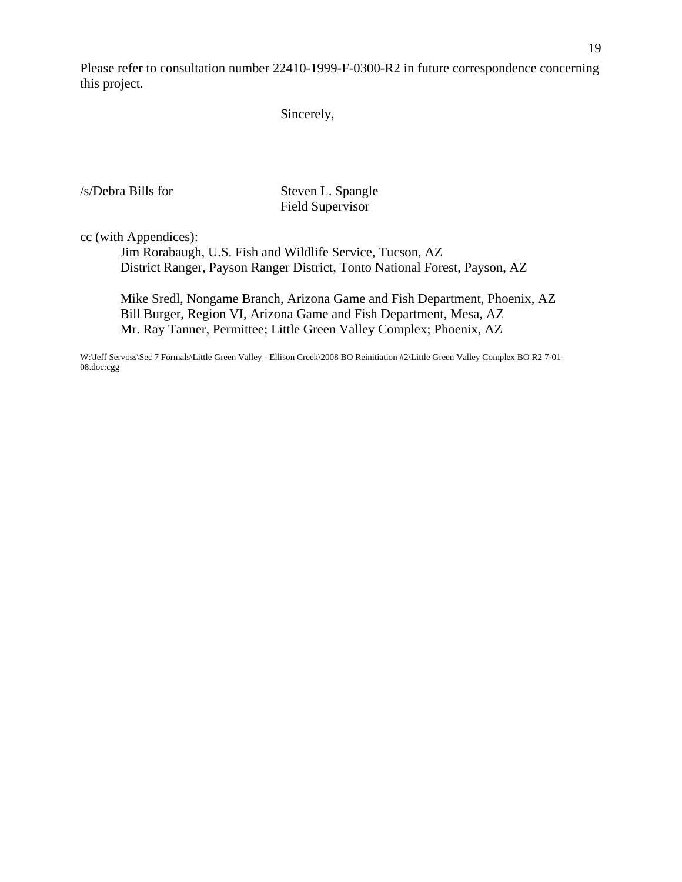Please refer to consultation number 22410-1999-F-0300-R2 in future correspondence concerning this project.

Sincerely,

/s/Debra Bills for Steven L. Spangle

Field Supervisor

cc (with Appendices):

 Jim Rorabaugh, U.S. Fish and Wildlife Service, Tucson, AZ District Ranger, Payson Ranger District, Tonto National Forest, Payson, AZ

 Mike Sredl, Nongame Branch, Arizona Game and Fish Department, Phoenix, AZ Bill Burger, Region VI, Arizona Game and Fish Department, Mesa, AZ Mr. Ray Tanner, Permittee; Little Green Valley Complex; Phoenix, AZ

W:\Jeff Servoss\Sec 7 Formals\Little Green Valley - Ellison Creek\2008 BO Reinitiation #2\Little Green Valley Complex BO R2 7-01- 08.doc:cgg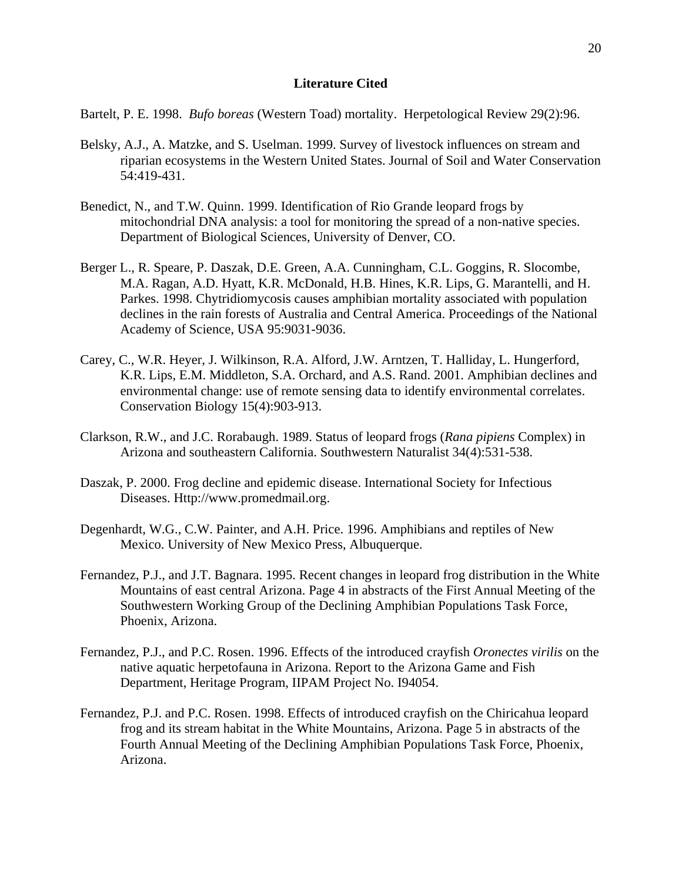#### **Literature Cited**

Bartelt, P. E. 1998. *Bufo boreas* (Western Toad) mortality. Herpetological Review 29(2):96.

- Belsky, A.J., A. Matzke, and S. Uselman. 1999. Survey of livestock influences on stream and riparian ecosystems in the Western United States. Journal of Soil and Water Conservation 54:419-431.
- Benedict, N., and T.W. Quinn. 1999. Identification of Rio Grande leopard frogs by mitochondrial DNA analysis: a tool for monitoring the spread of a non-native species. Department of Biological Sciences, University of Denver, CO.
- Berger L., R. Speare, P. Daszak, D.E. Green, A.A. Cunningham, C.L. Goggins, R. Slocombe, M.A. Ragan, A.D. Hyatt, K.R. McDonald, H.B. Hines, K.R. Lips, G. Marantelli, and H. Parkes. 1998. Chytridiomycosis causes amphibian mortality associated with population declines in the rain forests of Australia and Central America. Proceedings of the National Academy of Science, USA 95:9031-9036.
- Carey, C., W.R. Heyer, J. Wilkinson, R.A. Alford, J.W. Arntzen, T. Halliday, L. Hungerford, K.R. Lips, E.M. Middleton, S.A. Orchard, and A.S. Rand. 2001. Amphibian declines and environmental change: use of remote sensing data to identify environmental correlates. Conservation Biology 15(4):903-913.
- Clarkson, R.W., and J.C. Rorabaugh. 1989. Status of leopard frogs (*Rana pipiens* Complex) in Arizona and southeastern California. Southwestern Naturalist 34(4):531-538.
- Daszak, P. 2000. Frog decline and epidemic disease. International Society for Infectious Diseases. Http://www.promedmail.org.
- Degenhardt, W.G., C.W. Painter, and A.H. Price. 1996. Amphibians and reptiles of New Mexico. University of New Mexico Press, Albuquerque.
- Fernandez, P.J., and J.T. Bagnara. 1995. Recent changes in leopard frog distribution in the White Mountains of east central Arizona. Page 4 in abstracts of the First Annual Meeting of the Southwestern Working Group of the Declining Amphibian Populations Task Force, Phoenix, Arizona.
- Fernandez, P.J., and P.C. Rosen. 1996. Effects of the introduced crayfish *Oronectes virilis* on the native aquatic herpetofauna in Arizona. Report to the Arizona Game and Fish Department, Heritage Program, IIPAM Project No. I94054.
- Fernandez, P.J. and P.C. Rosen. 1998. Effects of introduced crayfish on the Chiricahua leopard frog and its stream habitat in the White Mountains, Arizona. Page 5 in abstracts of the Fourth Annual Meeting of the Declining Amphibian Populations Task Force, Phoenix, Arizona.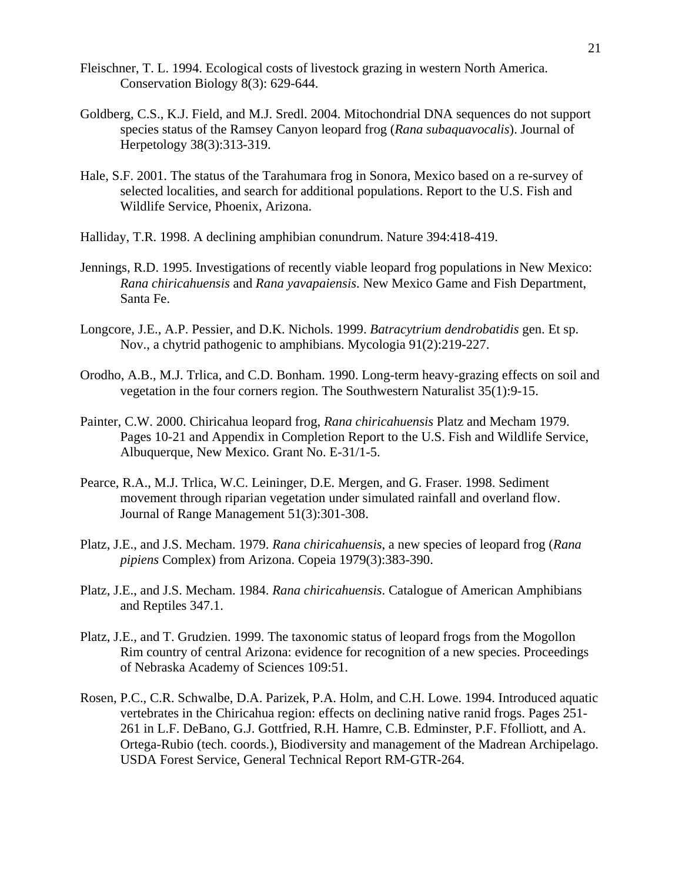- Fleischner, T. L. 1994. Ecological costs of livestock grazing in western North America. Conservation Biology 8(3): 629-644.
- Goldberg, C.S., K.J. Field, and M.J. Sredl. 2004. Mitochondrial DNA sequences do not support species status of the Ramsey Canyon leopard frog (*Rana subaquavocalis*). Journal of Herpetology 38(3):313-319.
- Hale, S.F. 2001. The status of the Tarahumara frog in Sonora, Mexico based on a re-survey of selected localities, and search for additional populations. Report to the U.S. Fish and Wildlife Service, Phoenix, Arizona.
- Halliday, T.R. 1998. A declining amphibian conundrum. Nature 394:418-419.
- Jennings, R.D. 1995. Investigations of recently viable leopard frog populations in New Mexico: *Rana chiricahuensis* and *Rana yavapaiensis*. New Mexico Game and Fish Department, Santa Fe.
- Longcore, J.E., A.P. Pessier, and D.K. Nichols. 1999. *Batracytrium dendrobatidis* gen. Et sp. Nov., a chytrid pathogenic to amphibians. Mycologia 91(2):219-227.
- Orodho, A.B., M.J. Trlica, and C.D. Bonham. 1990. Long-term heavy-grazing effects on soil and vegetation in the four corners region. The Southwestern Naturalist 35(1):9-15.
- Painter, C.W. 2000. Chiricahua leopard frog, *Rana chiricahuensis* Platz and Mecham 1979. Pages 10-21 and Appendix in Completion Report to the U.S. Fish and Wildlife Service, Albuquerque, New Mexico. Grant No. E-31/1-5.
- Pearce, R.A., M.J. Trlica, W.C. Leininger, D.E. Mergen, and G. Fraser. 1998. Sediment movement through riparian vegetation under simulated rainfall and overland flow. Journal of Range Management 51(3):301-308.
- Platz, J.E., and J.S. Mecham. 1979. *Rana chiricahuensis*, a new species of leopard frog (*Rana pipiens* Complex) from Arizona. Copeia 1979(3):383-390.
- Platz, J.E., and J.S. Mecham. 1984. *Rana chiricahuensis*. Catalogue of American Amphibians and Reptiles 347.1.
- Platz, J.E., and T. Grudzien. 1999. The taxonomic status of leopard frogs from the Mogollon Rim country of central Arizona: evidence for recognition of a new species. Proceedings of Nebraska Academy of Sciences 109:51.
- Rosen, P.C., C.R. Schwalbe, D.A. Parizek, P.A. Holm, and C.H. Lowe. 1994. Introduced aquatic vertebrates in the Chiricahua region: effects on declining native ranid frogs. Pages 251- 261 in L.F. DeBano, G.J. Gottfried, R.H. Hamre, C.B. Edminster, P.F. Ffolliott, and A. Ortega-Rubio (tech. coords.), Biodiversity and management of the Madrean Archipelago. USDA Forest Service, General Technical Report RM-GTR-264.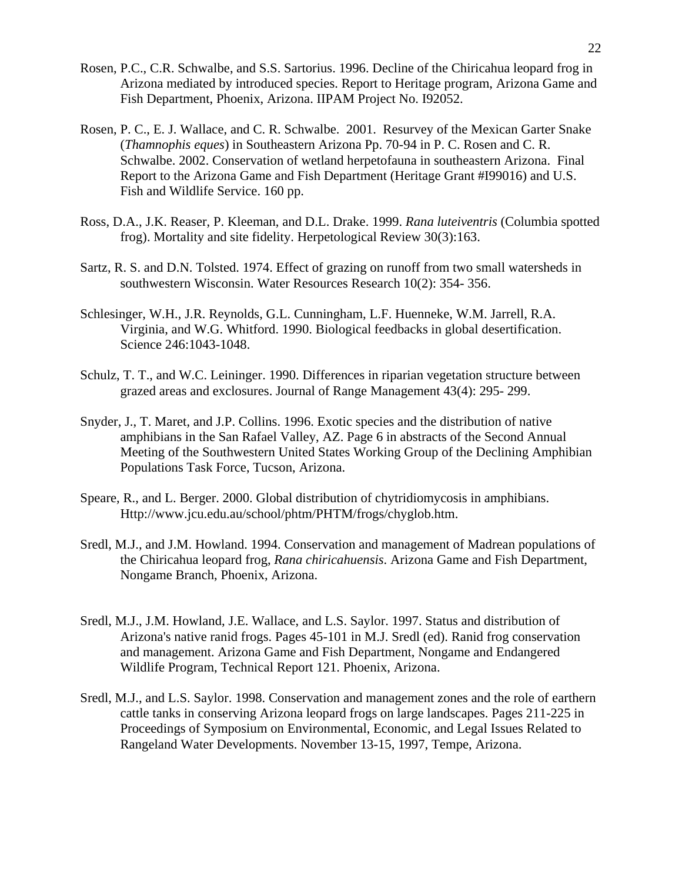- Rosen, P.C., C.R. Schwalbe, and S.S. Sartorius. 1996. Decline of the Chiricahua leopard frog in Arizona mediated by introduced species. Report to Heritage program, Arizona Game and Fish Department, Phoenix, Arizona. IIPAM Project No. I92052.
- Rosen, P. C., E. J. Wallace, and C. R. Schwalbe. 2001. Resurvey of the Mexican Garter Snake (*Thamnophis eques*) in Southeastern Arizona Pp. 70-94 in P. C. Rosen and C. R. Schwalbe. 2002. Conservation of wetland herpetofauna in southeastern Arizona. Final Report to the Arizona Game and Fish Department (Heritage Grant #I99016) and U.S. Fish and Wildlife Service. 160 pp.
- Ross, D.A., J.K. Reaser, P. Kleeman, and D.L. Drake. 1999. *Rana luteiventris* (Columbia spotted frog). Mortality and site fidelity. Herpetological Review 30(3):163.
- Sartz, R. S. and D.N. Tolsted. 1974. Effect of grazing on runoff from two small watersheds in southwestern Wisconsin. Water Resources Research 10(2): 354- 356.
- Schlesinger, W.H., J.R. Reynolds, G.L. Cunningham, L.F. Huenneke, W.M. Jarrell, R.A. Virginia, and W.G. Whitford. 1990. Biological feedbacks in global desertification. Science 246:1043-1048.
- Schulz, T. T., and W.C. Leininger. 1990. Differences in riparian vegetation structure between grazed areas and exclosures. Journal of Range Management 43(4): 295- 299.
- Snyder, J., T. Maret, and J.P. Collins. 1996. Exotic species and the distribution of native amphibians in the San Rafael Valley, AZ. Page 6 in abstracts of the Second Annual Meeting of the Southwestern United States Working Group of the Declining Amphibian Populations Task Force, Tucson, Arizona.
- Speare, R., and L. Berger. 2000. Global distribution of chytridiomycosis in amphibians. Http://www.jcu.edu.au/school/phtm/PHTM/frogs/chyglob.htm.
- Sredl, M.J., and J.M. Howland. 1994. Conservation and management of Madrean populations of the Chiricahua leopard frog, *Rana chiricahuensis*. Arizona Game and Fish Department, Nongame Branch, Phoenix, Arizona.
- Sredl, M.J., J.M. Howland, J.E. Wallace, and L.S. Saylor. 1997. Status and distribution of Arizona's native ranid frogs. Pages 45-101 in M.J. Sredl (ed). Ranid frog conservation and management. Arizona Game and Fish Department, Nongame and Endangered Wildlife Program, Technical Report 121. Phoenix, Arizona.
- Sredl, M.J., and L.S. Saylor. 1998. Conservation and management zones and the role of earthern cattle tanks in conserving Arizona leopard frogs on large landscapes. Pages 211-225 in Proceedings of Symposium on Environmental, Economic, and Legal Issues Related to Rangeland Water Developments. November 13-15, 1997, Tempe, Arizona.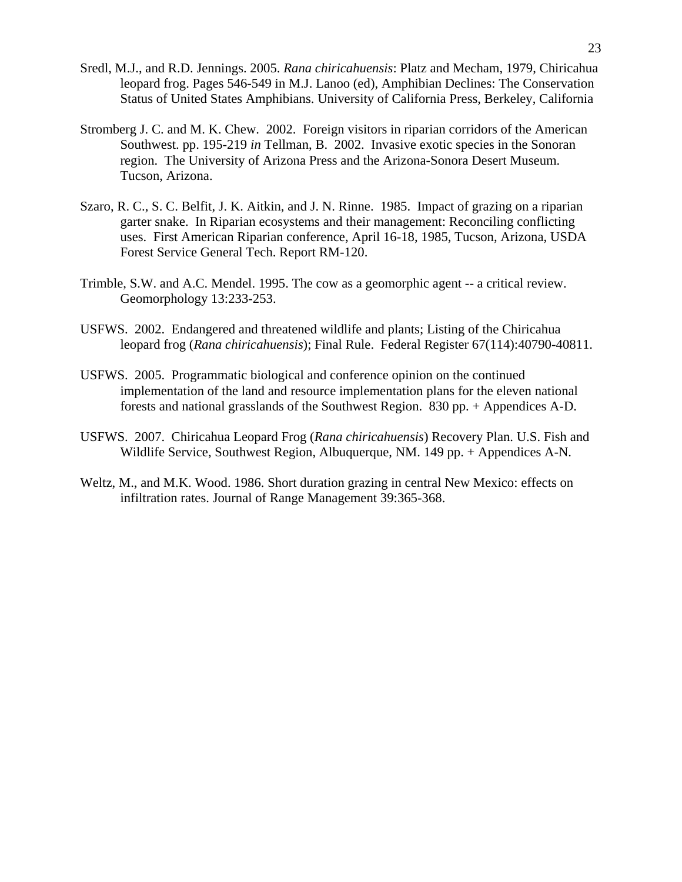- Sredl, M.J., and R.D. Jennings. 2005. *Rana chiricahuensis*: Platz and Mecham, 1979, Chiricahua leopard frog. Pages 546-549 in M.J. Lanoo (ed), Amphibian Declines: The Conservation Status of United States Amphibians. University of California Press, Berkeley, California
- Stromberg J. C. and M. K. Chew. 2002. Foreign visitors in riparian corridors of the American Southwest. pp. 195-219 *in* Tellman, B. 2002. Invasive exotic species in the Sonoran region. The University of Arizona Press and the Arizona-Sonora Desert Museum. Tucson, Arizona.
- Szaro, R. C., S. C. Belfit, J. K. Aitkin, and J. N. Rinne. 1985. Impact of grazing on a riparian garter snake. In Riparian ecosystems and their management: Reconciling conflicting uses. First American Riparian conference, April 16-18, 1985, Tucson, Arizona, USDA Forest Service General Tech. Report RM-120.
- Trimble, S.W. and A.C. Mendel. 1995. The cow as a geomorphic agent -- a critical review. Geomorphology 13:233-253.
- USFWS. 2002. Endangered and threatened wildlife and plants; Listing of the Chiricahua leopard frog (*Rana chiricahuensis*); Final Rule. Federal Register 67(114):40790-40811.
- USFWS. 2005. Programmatic biological and conference opinion on the continued implementation of the land and resource implementation plans for the eleven national forests and national grasslands of the Southwest Region. 830 pp. + Appendices A-D.
- USFWS. 2007. Chiricahua Leopard Frog (*Rana chiricahuensis*) Recovery Plan. U.S. Fish and Wildlife Service, Southwest Region, Albuquerque, NM. 149 pp. + Appendices A-N.
- Weltz, M., and M.K. Wood. 1986. Short duration grazing in central New Mexico: effects on infiltration rates. Journal of Range Management 39:365-368.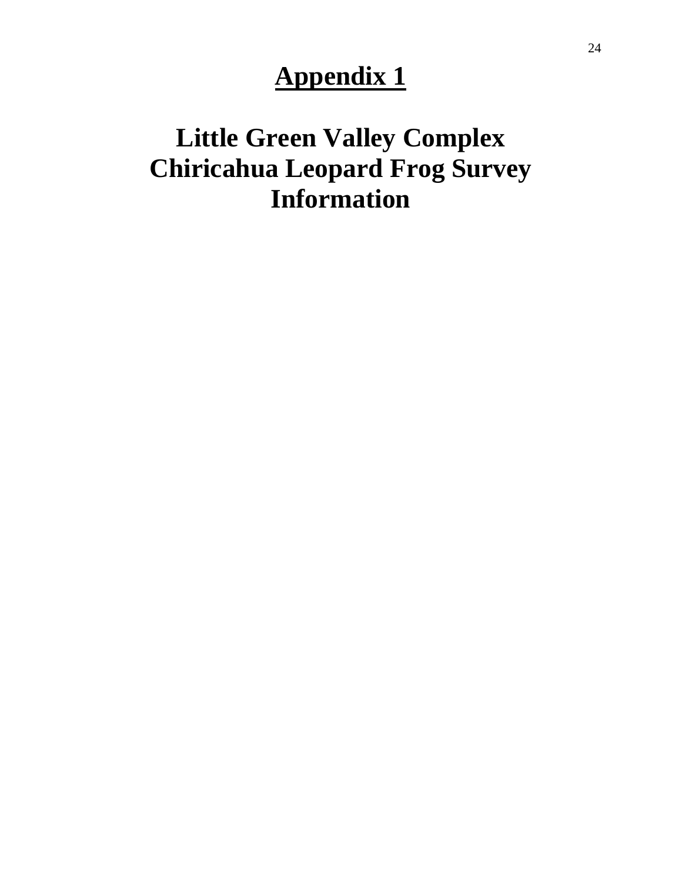## **Appendix 1**

## **Little Green Valley Complex Chiricahua Leopard Frog Survey Information**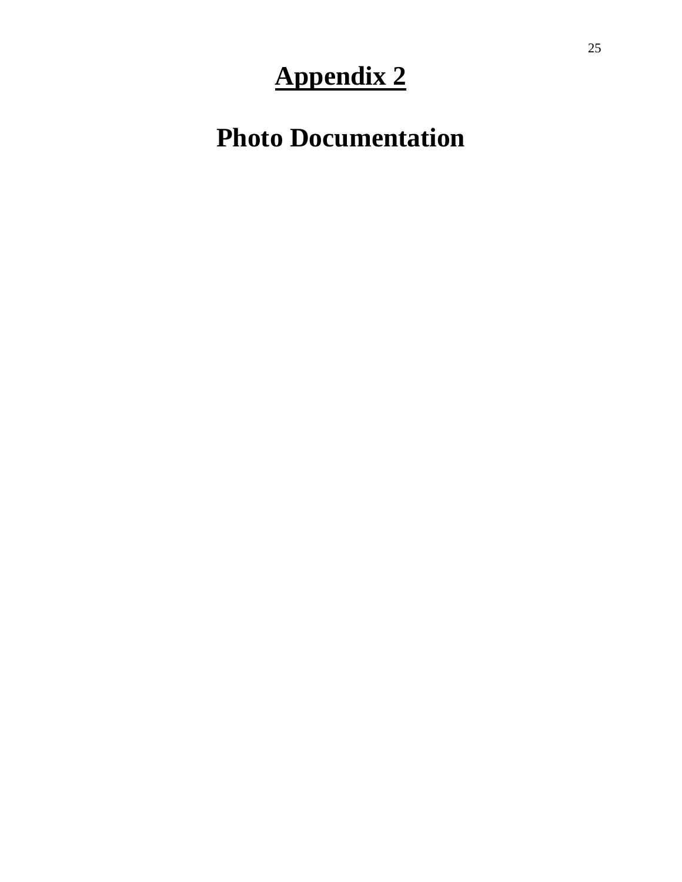# **Appendix 2**

**Photo Documentation**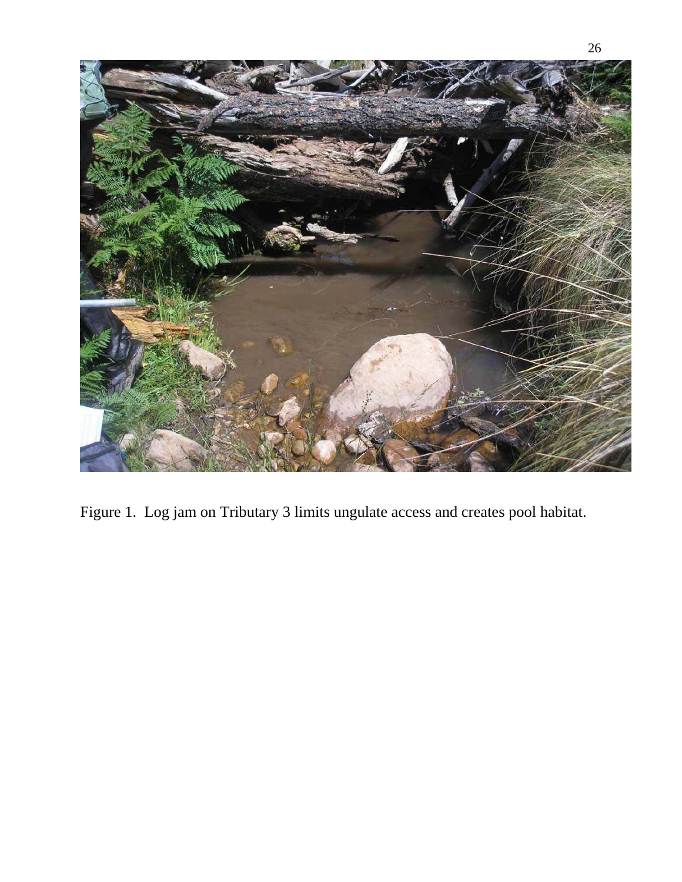

Figure 1. Log jam on Tributary 3 limits ungulate access and creates pool habitat.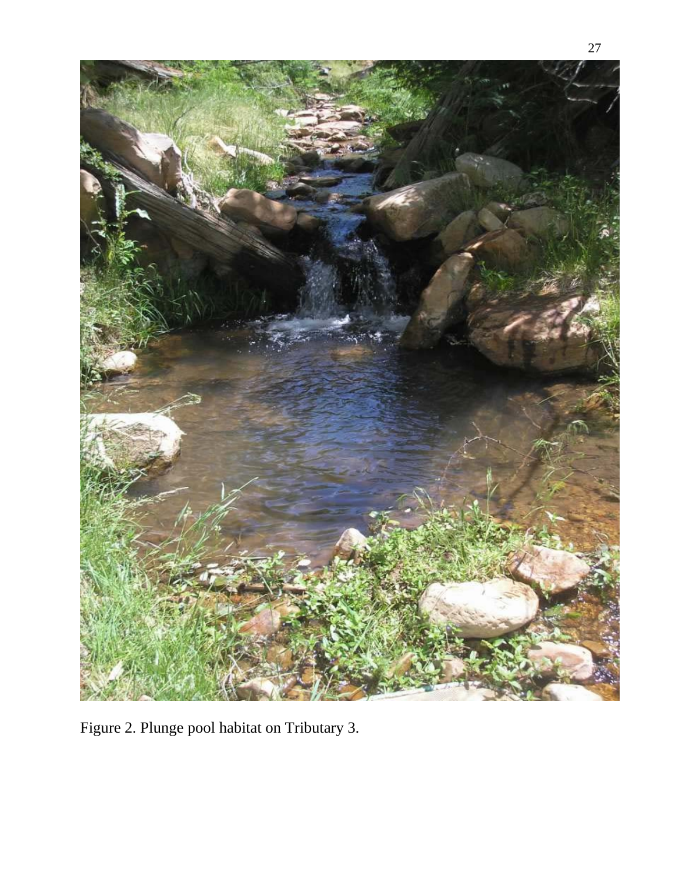

Figure 2. Plunge pool habitat on Tributary 3.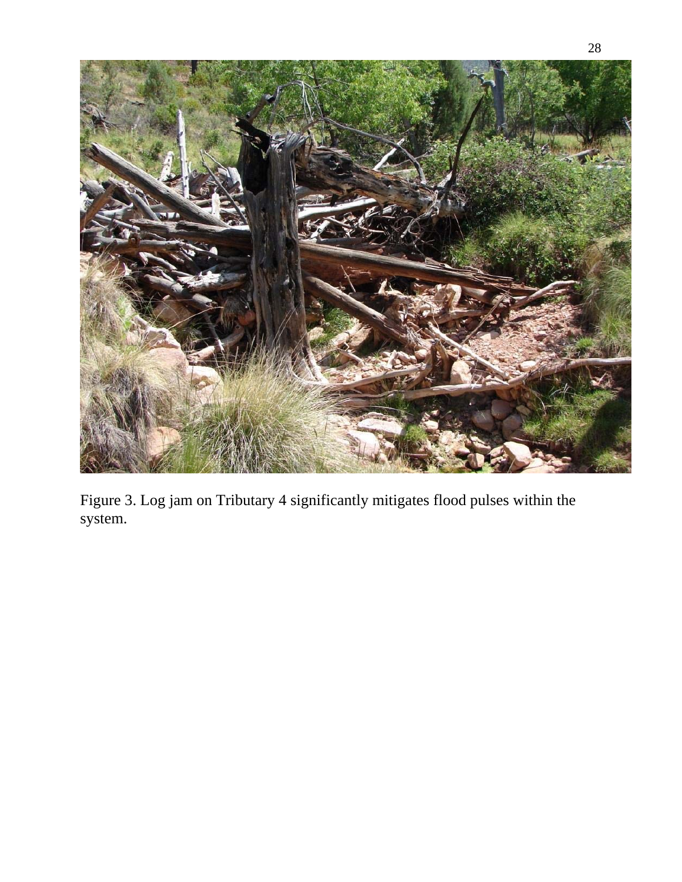

Figure 3. Log jam on Tributary 4 significantly mitigates flood pulses within the system.